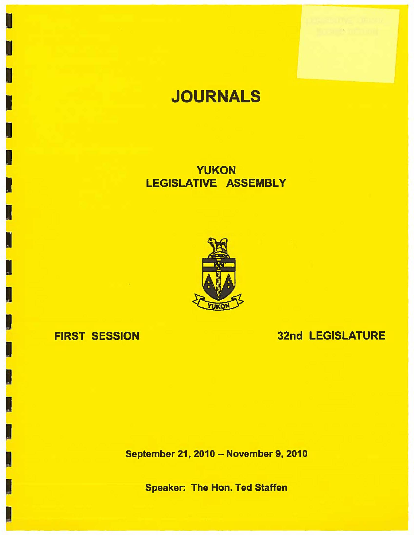

# **JOURNALS**

**YUKON**  LEGISLATIVE **ASSEMBLY** 



# FIRST **SESSION**

.<br>\* \* \* \* \*

 $\mathbf{J}$ 

I

 $\blacksquare$ 

I

I

I

I

I

I

# 32nd LEGISLATURE

September 21, 2010 - November 9, 2010

Speaker: The Hon. Ted Staffen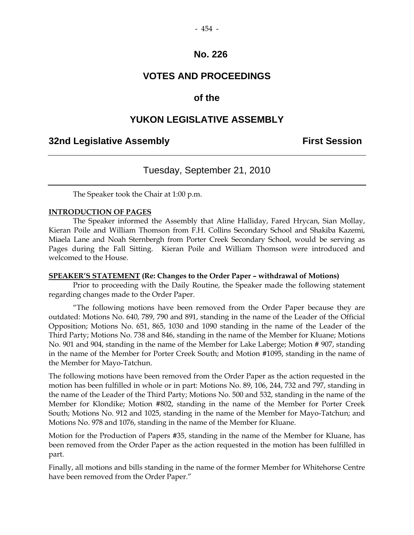# **VOTES AND PROCEEDINGS**

# **of the**

# **YUKON LEGISLATIVE ASSEMBLY**

# **32nd Legislative Assembly First Session**

# Tuesday, September 21, 2010

The Speaker took the Chair at 1:00 p.m.

#### **INTRODUCTION OF PAGES**

 The Speaker informed the Assembly that Aline Halliday, Fared Hrycan, Sian Mollay, Kieran Poile and William Thomson from F.H. Collins Secondary School and Shakiba Kazemi, Miaela Lane and Noah Sternbergh from Porter Creek Secondary School, would be serving as Pages during the Fall Sitting. Kieran Poile and William Thomson were introduced and welcomed to the House.

#### **SPEAKER'S STATEMENT (Re: Changes to the Order Paper – withdrawal of Motions)**

 Prior to proceeding with the Daily Routine, the Speaker made the following statement regarding changes made to the Order Paper.

 "The following motions have been removed from the Order Paper because they are outdated: Motions No. 640, 789, 790 and 891, standing in the name of the Leader of the Official Opposition; Motions No. 651, 865, 1030 and 1090 standing in the name of the Leader of the Third Party; Motions No. 738 and 846, standing in the name of the Member for Kluane; Motions No. 901 and 904, standing in the name of the Member for Lake Laberge; Motion # 907, standing in the name of the Member for Porter Creek South; and Motion #1095, standing in the name of the Member for Mayo-Tatchun.

The following motions have been removed from the Order Paper as the action requested in the motion has been fulfilled in whole or in part: Motions No. 89, 106, 244, 732 and 797, standing in the name of the Leader of the Third Party; Motions No. 500 and 532, standing in the name of the Member for Klondike; Motion #802, standing in the name of the Member for Porter Creek South; Motions No. 912 and 1025, standing in the name of the Member for Mayo-Tatchun; and Motions No. 978 and 1076, standing in the name of the Member for Kluane.

Motion for the Production of Papers #35, standing in the name of the Member for Kluane, has been removed from the Order Paper as the action requested in the motion has been fulfilled in part.

Finally, all motions and bills standing in the name of the former Member for Whitehorse Centre have been removed from the Order Paper."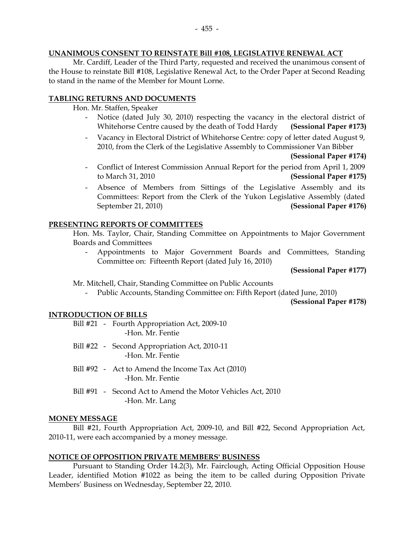#### **UNANIMOUS CONSENT TO REINSTATE Bill #108, LEGISLATIVE RENEWAL ACT**

 Mr. Cardiff, Leader of the Third Party, requested and received the unanimous consent of the House to reinstate Bill #108, Legislative Renewal Act, to the Order Paper at Second Reading to stand in the name of the Member for Mount Lorne.

#### **TABLING RETURNS AND DOCUMENTS**

Hon. Mr. Staffen, Speaker

- Notice (dated July 30, 2010) respecting the vacancy in the electoral district of Whitehorse Centre caused by the death of Todd Hardy **(Sessional Paper #173)**
- Vacancy in Electoral District of Whitehorse Centre: copy of letter dated August 9, 2010, from the Clerk of the Legislative Assembly to Commissioner Van Bibber

**(Sessional Paper #174)** 

- Conflict of Interest Commission Annual Report for the period from April 1, 2009 to March 31, 2010 **(Sessional Paper #175)**
- Absence of Members from Sittings of the Legislative Assembly and its Committees: Report from the Clerk of the Yukon Legislative Assembly (dated September 21, 2010) **(Sessional Paper #176)**

#### **PRESENTING REPORTS OF COMMITTEES**

 Hon. Ms. Taylor, Chair, Standing Committee on Appointments to Major Government Boards and Committees

 - Appointments to Major Government Boards and Committees, Standing Committee on: Fifteenth Report (dated July 16, 2010)

**(Sessional Paper #177)**

Mr. Mitchell, Chair, Standing Committee on Public Accounts

- Public Accounts, Standing Committee on: Fifth Report (dated June, 2010)

**(Sessional Paper #178)** 

#### **INTRODUCTION OF BILLS**

- Bill #21 Fourth Appropriation Act, 2009-10 -Hon. Mr. Fentie
- Bill #22 Second Appropriation Act, 2010-11 -Hon. Mr. Fentie
- Bill #92 Act to Amend the Income Tax Act (2010) -Hon. Mr. Fentie
- Bill #91 Second Act to Amend the Motor Vehicles Act, 2010 -Hon. Mr. Lang

#### **MONEY MESSAGE**

 Bill #21, Fourth Appropriation Act, 2009-10, and Bill #22, Second Appropriation Act, 2010-11, were each accompanied by a money message.

#### **NOTICE OF OPPOSITION PRIVATE MEMBERS' BUSINESS**

 Pursuant to Standing Order 14.2(3), Mr. Fairclough, Acting Official Opposition House Leader, identified Motion #1022 as being the item to be called during Opposition Private Members' Business on Wednesday, September 22, 2010.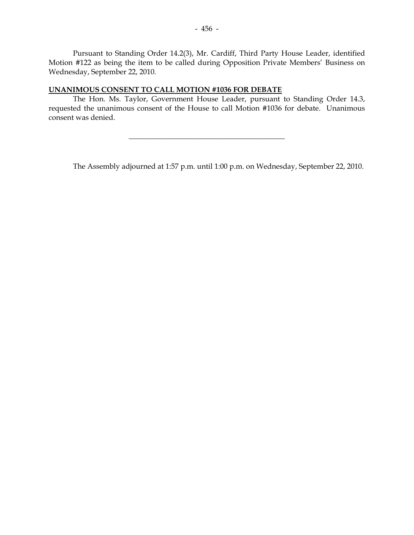Pursuant to Standing Order 14.2(3), Mr. Cardiff, Third Party House Leader, identified Motion #122 as being the item to be called during Opposition Private Members' Business on Wednesday, September 22, 2010.

#### **UNANIMOUS CONSENT TO CALL MOTION #1036 FOR DEBATE**

 The Hon. Ms. Taylor, Government House Leader, pursuant to Standing Order 14.3, requested the unanimous consent of the House to call Motion #1036 for debate. Unanimous consent was denied.

\_\_\_\_\_\_\_\_\_\_\_\_\_\_\_\_\_\_\_\_\_\_\_\_\_\_\_\_\_\_\_\_\_\_\_\_\_\_\_\_\_\_

The Assembly adjourned at 1:57 p.m. until 1:00 p.m. on Wednesday, September 22, 2010.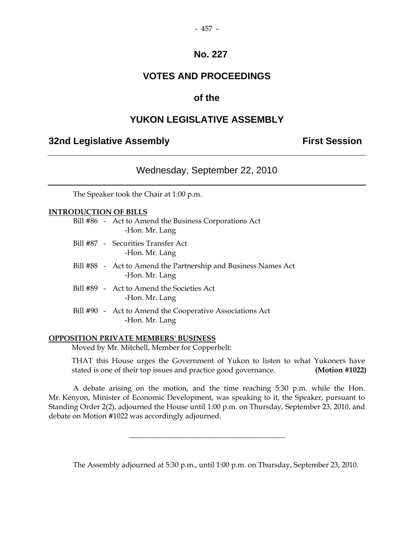#### - 457 -

# **No. 227**

# **VOTES AND PROCEEDINGS**

# **of the**

# **YUKON LEGISLATIVE ASSEMBLY**

# **32nd Legislative Assembly The Contract Session**

# Wednesday, September 22, 2010

The Speaker took the Chair at 1:00 p.m.

## **INTRODUCTION OF BILLS**

| Bill #86 - Act to Amend the Business Corporations Act<br>-Hon. Mr. Lang          |
|----------------------------------------------------------------------------------|
| Bill #87 - Securities Transfer Act<br>-Hon. Mr. Lang                             |
| Bill #88 - Act to Amend the Partnership and Business Names Act<br>-Hon. Mr. Lang |
| Bill #89 - Act to Amend the Societies Act<br>-Hon. Mr. Lang                      |
| Bill #90 - Act to Amend the Cooperative Associations Act<br>-Hon. Mr. Lang       |

#### **OPPOSITION PRIVATE MEMBERS' BUSINESS**

Moved by Mr. Mitchell, Member for Copperbelt:

 THAT this House urges the Government of Yukon to listen to what Yukoners have stated is one of their top issues and practice good governance. **(Motion #1022)**

 A debate arising on the motion, and the time reaching 5:30 p.m. while the Hon. Mr. Kenyon, Minister of Economic Development, was speaking to it, the Speaker, pursuant to Standing Order 2(2), adjourned the House until 1:00 p.m. on Thursday, September 23, 2010, and debate on Motion #1022 was accordingly adjourned.

 $\overline{\phantom{a}}$  , and the set of the set of the set of the set of the set of the set of the set of the set of the set of the set of the set of the set of the set of the set of the set of the set of the set of the set of the s

The Assembly adjourned at 5:30 p.m., until 1:00 p.m. on Thursday, September 23, 2010.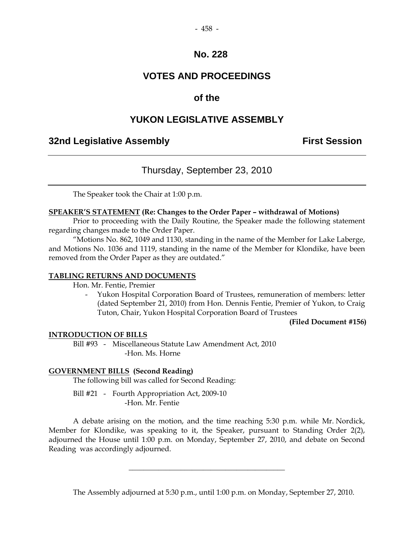#### - 458 -

## **No. 228**

# **VOTES AND PROCEEDINGS**

# **of the**

# **YUKON LEGISLATIVE ASSEMBLY**

# **32nd Legislative Assembly First Session**

# Thursday, September 23, 2010

The Speaker took the Chair at 1:00 p.m.

#### **SPEAKER'S STATEMENT (Re: Changes to the Order Paper – withdrawal of Motions)**

 Prior to proceeding with the Daily Routine, the Speaker made the following statement regarding changes made to the Order Paper.

"Motions No. 862, 1049 and 1130, standing in the name of the Member for Lake Laberge, and Motions No. 1036 and 1119, standing in the name of the Member for Klondike, have been removed from the Order Paper as they are outdated."

#### **TABLING RETURNS AND DOCUMENTS**

Hon. Mr. Fentie, Premier

 - Yukon Hospital Corporation Board of Trustees, remuneration of members: letter (dated September 21, 2010) from Hon. Dennis Fentie, Premier of Yukon, to Craig Tuton, Chair, Yukon Hospital Corporation Board of Trustees

**(Filed Document #156)** 

#### **INTRODUCTION OF BILLS**

 Bill #93 - Miscellaneous Statute Law Amendment Act, 2010 -Hon. Ms. Horne

#### **GOVERNMENT BILLS (Second Reading)**

The following bill was called for Second Reading:

 Bill #21 - Fourth Appropriation Act, 2009-10 -Hon. Mr. Fentie

 A debate arising on the motion, and the time reaching 5:30 p.m. while Mr. Nordick, Member for Klondike, was speaking to it, the Speaker, pursuant to Standing Order 2(2), adjourned the House until 1:00 p.m. on Monday, September 27, 2010, and debate on Second Reading was accordingly adjourned.

\_\_\_\_\_\_\_\_\_\_\_\_\_\_\_\_\_\_\_\_\_\_\_\_\_\_\_\_\_\_\_\_\_\_\_\_\_\_\_\_\_\_

The Assembly adjourned at 5:30 p.m., until 1:00 p.m. on Monday, September 27, 2010.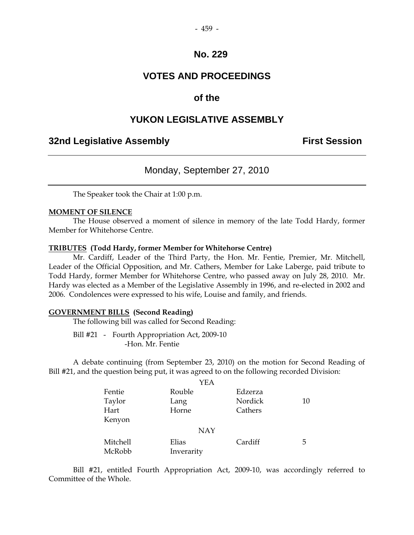#### - 459 -

## **No. 229**

# **VOTES AND PROCEEDINGS**

# **of the**

## **YUKON LEGISLATIVE ASSEMBLY**

# **32nd Legislative Assembly First Session**

## Monday, September 27, 2010

The Speaker took the Chair at 1:00 p.m.

#### **MOMENT OF SILENCE**

 The House observed a moment of silence in memory of the late Todd Hardy, former Member for Whitehorse Centre.

#### **TRIBUTES (Todd Hardy, former Member for Whitehorse Centre)**

Mr. Cardiff, Leader of the Third Party, the Hon. Mr. Fentie, Premier, Mr. Mitchell, Leader of the Official Opposition, and Mr. Cathers, Member for Lake Laberge, paid tribute to Todd Hardy, former Member for Whitehorse Centre, who passed away on July 28, 2010. Mr. Hardy was elected as a Member of the Legislative Assembly in 1996, and re-elected in 2002 and 2006. Condolences were expressed to his wife, Louise and family, and friends.

#### **GOVERNMENT BILLS (Second Reading)**

The following bill was called for Second Reading:

 Bill #21 - Fourth Appropriation Act, 2009-10 -Hon. Mr. Fentie

 A debate continuing (from September 23, 2010) on the motion for Second Reading of Bill #21, and the question being put, it was agreed to on the following recorded Division:

|          | YEA        |         |    |
|----------|------------|---------|----|
| Fentie   | Rouble     | Edzerza |    |
| Taylor   | Lang       | Nordick | 10 |
| Hart     | Horne      | Cathers |    |
| Kenyon   |            |         |    |
|          | <b>NAY</b> |         |    |
| Mitchell | Elias      | Cardiff | 5  |
| McRobb   | Inverarity |         |    |

 Bill #21, entitled Fourth Appropriation Act, 2009-10, was accordingly referred to Committee of the Whole.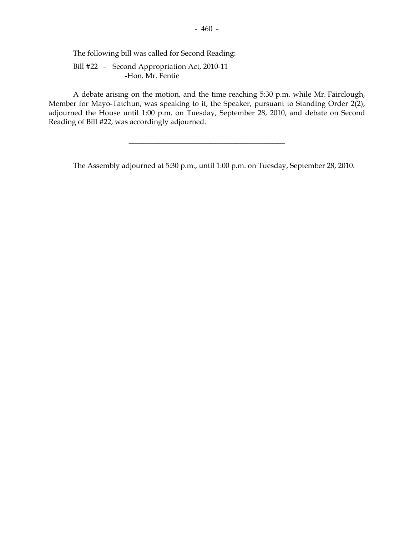The following bill was called for Second Reading:

 Bill #22 - Second Appropriation Act, 2010-11 -Hon. Mr. Fentie

 A debate arising on the motion, and the time reaching 5:30 p.m. while Mr. Fairclough, Member for Mayo-Tatchun, was speaking to it, the Speaker, pursuant to Standing Order 2(2), adjourned the House until 1:00 p.m. on Tuesday, September 28, 2010, and debate on Second Reading of Bill #22, was accordingly adjourned.

\_\_\_\_\_\_\_\_\_\_\_\_\_\_\_\_\_\_\_\_\_\_\_\_\_\_\_\_\_\_\_\_\_\_\_\_\_\_\_\_\_\_

The Assembly adjourned at 5:30 p.m., until 1:00 p.m. on Tuesday, September 28, 2010.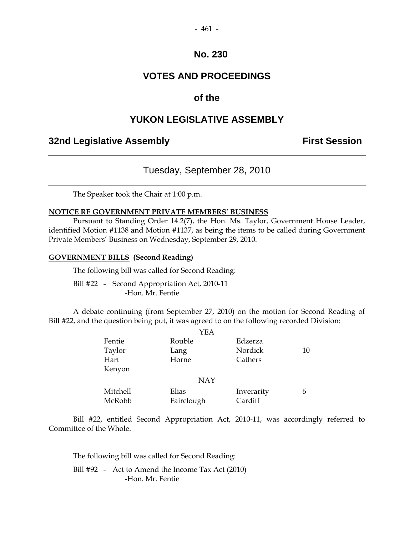# **VOTES AND PROCEEDINGS**

# **of the**

# **YUKON LEGISLATIVE ASSEMBLY**

# **32nd Legislative Assembly The Contract Session**

# Tuesday, September 28, 2010

The Speaker took the Chair at 1:00 p.m.

#### **NOTICE RE GOVERNMENT PRIVATE MEMBERS' BUSINESS**

 Pursuant to Standing Order 14.2(7), the Hon. Ms. Taylor, Government House Leader, identified Motion #1138 and Motion #1137, as being the items to be called during Government Private Members' Business on Wednesday, September 29, 2010.

#### **GOVERNMENT BILLS (Second Reading)**

The following bill was called for Second Reading:

 Bill #22 - Second Appropriation Act, 2010-11 -Hon. Mr. Fentie

 A debate continuing (from September 27, 2010) on the motion for Second Reading of Bill #22, and the question being put, it was agreed to on the following recorded Division:

|          | YEA        |            |    |
|----------|------------|------------|----|
| Fentie   | Rouble     | Edzerza    |    |
| Taylor   | Lang       | Nordick    | 10 |
| Hart     | Horne      | Cathers    |    |
| Kenyon   |            |            |    |
|          | <b>NAY</b> |            |    |
| Mitchell | Elias      | Inverarity | 6  |
| McRobb   | Fairclough | Cardiff    |    |

 Bill #22, entitled Second Appropriation Act, 2010-11, was accordingly referred to Committee of the Whole.

The following bill was called for Second Reading:

Bill #92 - Act to Amend the Income Tax Act (2010) -Hon. Mr. Fentie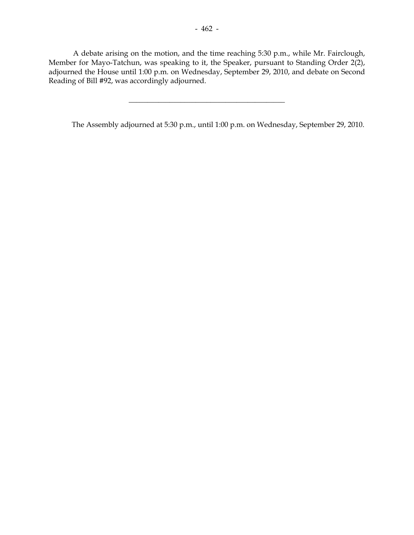A debate arising on the motion, and the time reaching 5:30 p.m., while Mr. Fairclough, Member for Mayo-Tatchun, was speaking to it, the Speaker, pursuant to Standing Order 2(2), adjourned the House until 1:00 p.m. on Wednesday, September 29, 2010, and debate on Second Reading of Bill #92, was accordingly adjourned.

 $\frac{1}{2}$  , and the set of the set of the set of the set of the set of the set of the set of the set of the set of the set of the set of the set of the set of the set of the set of the set of the set of the set of the set

The Assembly adjourned at 5:30 p.m., until 1:00 p.m. on Wednesday, September 29, 2010.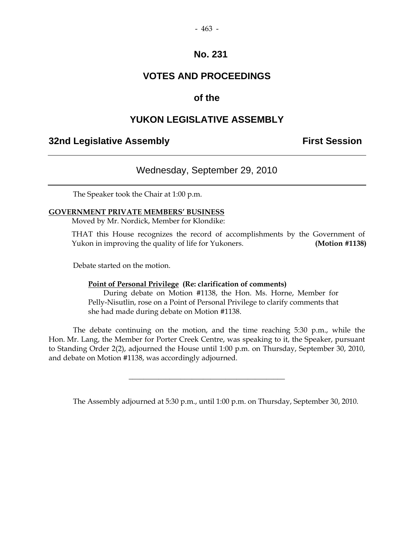# **VOTES AND PROCEEDINGS**

# **of the**

# **YUKON LEGISLATIVE ASSEMBLY**

# **32nd Legislative Assembly The Contract Session**

# Wednesday, September 29, 2010

The Speaker took the Chair at 1:00 p.m.

#### **GOVERNMENT PRIVATE MEMBERS' BUSINESS**

Moved by Mr. Nordick, Member for Klondike:

 THAT this House recognizes the record of accomplishments by the Government of Yukon in improving the quality of life for Yukoners. **(Motion #1138)**

Debate started on the motion.

#### **Point of Personal Privilege (Re: clarification of comments)**

 During debate on Motion #1138, the Hon. Ms. Horne, Member for Pelly-Nisutlin, rose on a Point of Personal Privilege to clarify comments that she had made during debate on Motion #1138.

 The debate continuing on the motion, and the time reaching 5:30 p.m., while the Hon. Mr. Lang, the Member for Porter Creek Centre, was speaking to it, the Speaker, pursuant to Standing Order 2(2), adjourned the House until 1:00 p.m. on Thursday, September 30, 2010, and debate on Motion #1138, was accordingly adjourned.

\_\_\_\_\_\_\_\_\_\_\_\_\_\_\_\_\_\_\_\_\_\_\_\_\_\_\_\_\_\_\_\_\_\_\_\_\_\_\_\_\_\_

The Assembly adjourned at 5:30 p.m., until 1:00 p.m. on Thursday, September 30, 2010.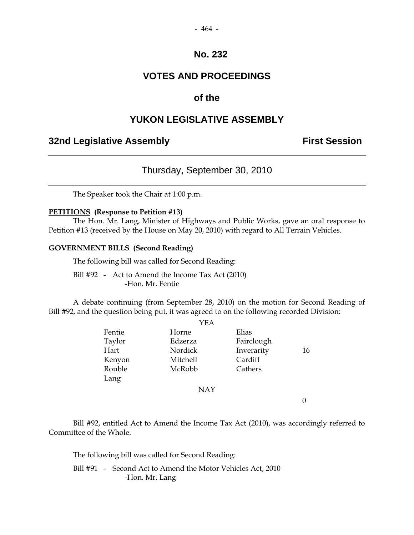#### - 464 -

## **No. 232**

# **VOTES AND PROCEEDINGS**

# **of the**

# **YUKON LEGISLATIVE ASSEMBLY**

## **32nd Legislative Assembly The Contract Session**

# Thursday, September 30, 2010

The Speaker took the Chair at 1:00 p.m.

#### **PETITIONS (Response to Petition #13)**

 The Hon. Mr. Lang, Minister of Highways and Public Works, gave an oral response to Petition #13 (received by the House on May 20, 2010) with regard to All Terrain Vehicles.

#### **GOVERNMENT BILLS (Second Reading)**

The following bill was called for Second Reading:

Bill #92 - Act to Amend the Income Tax Act (2010) -Hon. Mr. Fentie

 A debate continuing (from September 28, 2010) on the motion for Second Reading of Bill #92, and the question being put, it was agreed to on the following recorded Division:  $Y_{\text{E}}$ 

|        | YEA        |            |    |
|--------|------------|------------|----|
| Fentie | Horne      | Elias      |    |
| Taylor | Edzerza    | Fairclough |    |
| Hart   | Nordick    | Inverarity | 16 |
| Kenyon | Mitchell   | Cardiff    |    |
| Rouble | McRobb     | Cathers    |    |
| Lang   |            |            |    |
|        | <b>NAY</b> |            |    |
|        |            |            |    |

 Bill #92, entitled Act to Amend the Income Tax Act (2010), was accordingly referred to Committee of the Whole.

The following bill was called for Second Reading:

 Bill #91 - Second Act to Amend the Motor Vehicles Act, 2010 -Hon. Mr. Lang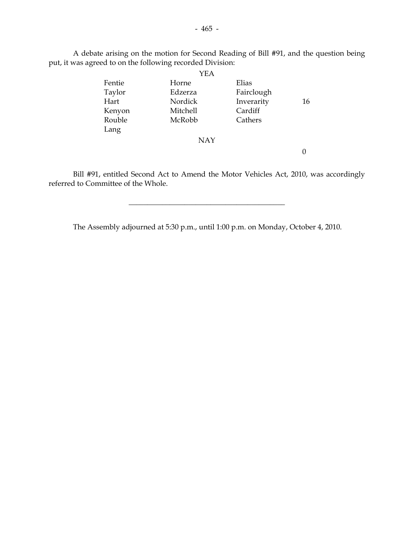A debate arising on the motion for Second Reading of Bill #91, and the question being put, it was agreed to on the following recorded Division:

|        | YEA      |            |    |
|--------|----------|------------|----|
| Fentie | Horne    | Elias      |    |
| Taylor | Edzerza  | Fairclough |    |
| Hart   | Nordick  | Inverarity | 16 |
| Kenyon | Mitchell | Cardiff    |    |
| Rouble | McRobb   | Cathers    |    |
| Lang   |          |            |    |
|        | NAY      |            |    |
|        |          |            |    |
|        |          |            |    |

 Bill #91, entitled Second Act to Amend the Motor Vehicles Act, 2010, was accordingly referred to Committee of the Whole.

The Assembly adjourned at 5:30 p.m., until 1:00 p.m. on Monday, October 4, 2010.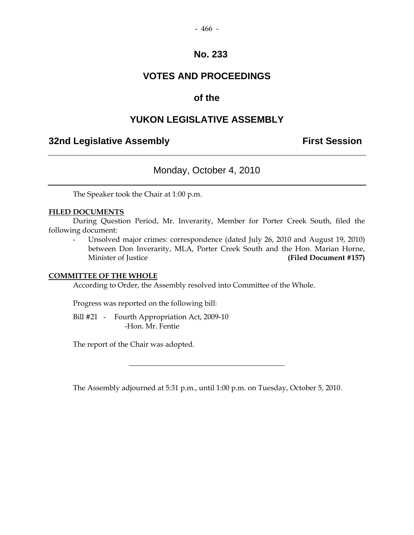# **VOTES AND PROCEEDINGS**

# **of the**

# **YUKON LEGISLATIVE ASSEMBLY**

# **32nd Legislative Assembly The Contract Session**

# Monday, October 4, 2010

The Speaker took the Chair at 1:00 p.m.

## **FILED DOCUMENTS**

 During Question Period, Mr. Inverarity, Member for Porter Creek South, filed the following document:

 - Unsolved major crimes: correspondence (dated July 26, 2010 and August 19, 2010) between Don Inverarity, MLA, Porter Creek South and the Hon. Marian Horne, Minister of Justice **(Filed Document #157)**

#### **COMMITTEE OF THE WHOLE**

According to Order, the Assembly resolved into Committee of the Whole.

Progress was reported on the following bill:

Bill #21 - Fourth Appropriation Act, 2009-10 -Hon. Mr. Fentie

The report of the Chair was adopted.

The Assembly adjourned at 5:31 p.m., until 1:00 p.m. on Tuesday, October 5, 2010.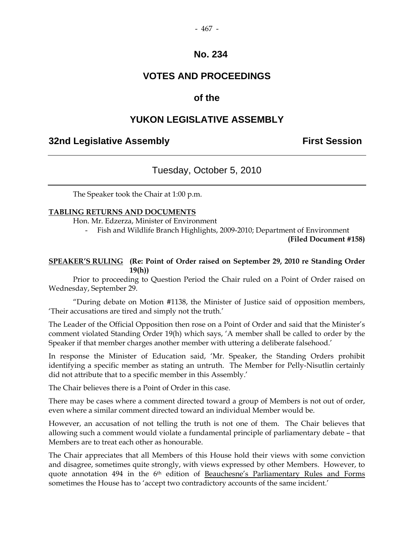#### - 467 -

## **No. 234**

# **VOTES AND PROCEEDINGS**

## **of the**

# **YUKON LEGISLATIVE ASSEMBLY**

# **32nd Legislative Assembly Constructed Session**

## Tuesday, October 5, 2010

The Speaker took the Chair at 1:00 p.m.

#### **TABLING RETURNS AND DOCUMENTS**

Hon. Mr. Edzerza, Minister of Environment

- Fish and Wildlife Branch Highlights, 2009-2010; Department of Environment

**(Filed Document #158)**

#### **SPEAKER'S RULING (Re: Point of Order raised on September 29, 2010 re Standing Order 19(h))**

 Prior to proceeding to Question Period the Chair ruled on a Point of Order raised on Wednesday, September 29.

"During debate on Motion #1138, the Minister of Justice said of opposition members, 'Their accusations are tired and simply not the truth.'

The Leader of the Official Opposition then rose on a Point of Order and said that the Minister's comment violated Standing Order 19(h) which says, 'A member shall be called to order by the Speaker if that member charges another member with uttering a deliberate falsehood.'

In response the Minister of Education said, 'Mr. Speaker, the Standing Orders prohibit identifying a specific member as stating an untruth. The Member for Pelly-Nisutlin certainly did not attribute that to a specific member in this Assembly.'

The Chair believes there is a Point of Order in this case.

There may be cases where a comment directed toward a group of Members is not out of order, even where a similar comment directed toward an individual Member would be.

However, an accusation of not telling the truth is not one of them. The Chair believes that allowing such a comment would violate a fundamental principle of parliamentary debate – that Members are to treat each other as honourable.

The Chair appreciates that all Members of this House hold their views with some conviction and disagree, sometimes quite strongly, with views expressed by other Members. However, to quote annotation 494 in the 6th edition of Beauchesne's Parliamentary Rules and Forms sometimes the House has to 'accept two contradictory accounts of the same incident.'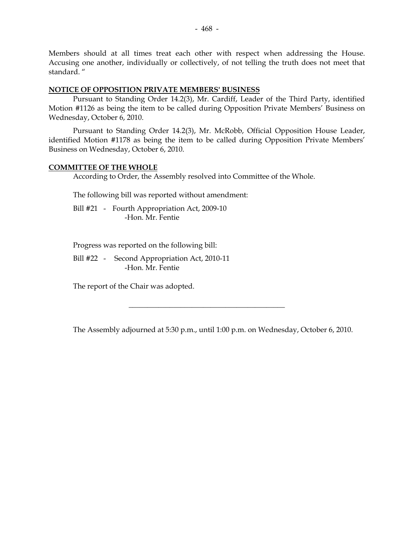Members should at all times treat each other with respect when addressing the House. Accusing one another, individually or collectively, of not telling the truth does not meet that standard. "

#### **NOTICE OF OPPOSITION PRIVATE MEMBERS' BUSINESS**

 Pursuant to Standing Order 14.2(3), Mr. Cardiff, Leader of the Third Party, identified Motion #1126 as being the item to be called during Opposition Private Members' Business on Wednesday, October 6, 2010.

 Pursuant to Standing Order 14.2(3), Mr. McRobb, Official Opposition House Leader, identified Motion #1178 as being the item to be called during Opposition Private Members' Business on Wednesday, October 6, 2010.

## **COMMITTEE OF THE WHOLE**

According to Order, the Assembly resolved into Committee of the Whole.

The following bill was reported without amendment:

Bill #21 - Fourth Appropriation Act, 2009-10 -Hon. Mr. Fentie

Progress was reported on the following bill:

 Bill #22 - Second Appropriation Act, 2010-11 -Hon. Mr. Fentie

The report of the Chair was adopted.

The Assembly adjourned at 5:30 p.m., until 1:00 p.m. on Wednesday, October 6, 2010.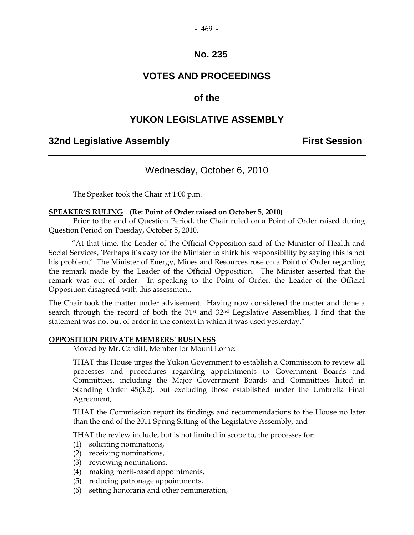# **VOTES AND PROCEEDINGS**

# **of the**

# **YUKON LEGISLATIVE ASSEMBLY**

# **32nd Legislative Assembly First Session**

# Wednesday, October 6, 2010

The Speaker took the Chair at 1:00 p.m.

#### **SPEAKER'S RULING (Re: Point of Order raised on October 5, 2010)**

Prior to the end of Question Period, the Chair ruled on a Point of Order raised during Question Period on Tuesday, October 5, 2010.

 "At that time, the Leader of the Official Opposition said of the Minister of Health and Social Services, 'Perhaps it's easy for the Minister to shirk his responsibility by saying this is not his problem.' The Minister of Energy, Mines and Resources rose on a Point of Order regarding the remark made by the Leader of the Official Opposition. The Minister asserted that the remark was out of order. In speaking to the Point of Order, the Leader of the Official Opposition disagreed with this assessment.

The Chair took the matter under advisement. Having now considered the matter and done a search through the record of both the 31st and 32nd Legislative Assemblies, I find that the statement was not out of order in the context in which it was used yesterday."

#### **OPPOSITION PRIVATE MEMBERS' BUSINESS**

Moved by Mr. Cardiff, Member for Mount Lorne:

 THAT this House urges the Yukon Government to establish a Commission to review all processes and procedures regarding appointments to Government Boards and Committees, including the Major Government Boards and Committees listed in Standing Order 45(3.2), but excluding those established under the Umbrella Final Agreement,

 THAT the Commission report its findings and recommendations to the House no later than the end of the 2011 Spring Sitting of the Legislative Assembly, and

THAT the review include, but is not limited in scope to, the processes for:

- (1) soliciting nominations,
- (2) receiving nominations,
- (3) reviewing nominations,
- (4) making merit-based appointments,
- (5) reducing patronage appointments,
- (6) setting honoraria and other remuneration,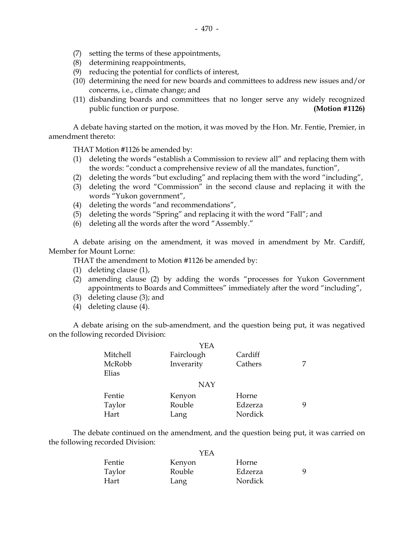- (7) setting the terms of these appointments,
- (8) determining reappointments,
- (9) reducing the potential for conflicts of interest,
- (10) determining the need for new boards and committees to address new issues and/or concerns, i.e., climate change; and
- (11) disbanding boards and committees that no longer serve any widely recognized public function or purpose. **(Motion #1126)**

 A debate having started on the motion, it was moved by the Hon. Mr. Fentie, Premier, in amendment thereto:

THAT Motion #1126 be amended by:

- (1) deleting the words "establish a Commission to review all" and replacing them with the words: "conduct a comprehensive review of all the mandates, function",
- (2) deleting the words "but excluding" and replacing them with the word "including",
- (3) deleting the word "Commission" in the second clause and replacing it with the words "Yukon government",
- (4) deleting the words "and recommendations",
- (5) deleting the words "Spring" and replacing it with the word "Fall"; and
- (6) deleting all the words after the word "Assembly."

 A debate arising on the amendment, it was moved in amendment by Mr. Cardiff, Member for Mount Lorne:

THAT the amendment to Motion #1126 be amended by:

- (1) deleting clause (1),
- (2) amending clause (2) by adding the words "processes for Yukon Government appointments to Boards and Committees" immediately after the word "including",
- (3) deleting clause (3); and
- (4) deleting clause (4).

 A debate arising on the sub-amendment, and the question being put, it was negatived on the following recorded Division:

|                 | YEA        |         |   |
|-----------------|------------|---------|---|
| Mitchell        | Fairclough | Cardiff |   |
| McRobb<br>Elias | Inverarity | Cathers | 7 |
|                 | <b>NAY</b> |         |   |
| Fentie          | Kenyon     | Horne   |   |
| Taylor          | Rouble     | Edzerza | 9 |
| Hart            | Lang       | Nordick |   |

 The debate continued on the amendment, and the question being put, it was carried on the following recorded Division:

|        | YEA    |         |    |
|--------|--------|---------|----|
| Fentie | Kenyon | Horne   |    |
| Taylor | Rouble | Edzerza | Q. |
| Hart   | Lang   | Nordick |    |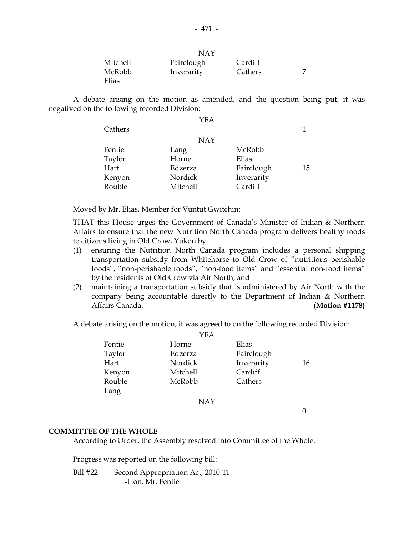|          | NAY        |         |  |
|----------|------------|---------|--|
| Mitchell | Fairclough | Cardiff |  |
| McRobb   | Inverarity | Cathers |  |
| Elias    |            |         |  |

 A debate arising on the motion as amended, and the question being put, it was negatived on the following recorded Division:

|         | YEA        |            |    |
|---------|------------|------------|----|
| Cathers |            |            | 1  |
|         | <b>NAY</b> |            |    |
| Fentie  | Lang       | McRobb     |    |
| Taylor  | Horne      | Elias      |    |
| Hart    | Edzerza    | Fairclough | 15 |
| Kenyon  | Nordick    | Inverarity |    |
| Rouble  | Mitchell   | Cardiff    |    |

Moved by Mr. Elias, Member for Vuntut Gwitchin:

 THAT this House urges the Government of Canada's Minister of Indian & Northern Affairs to ensure that the new Nutrition North Canada program delivers healthy foods to citizens living in Old Crow, Yukon by:

- (1) ensuring the Nutrition North Canada program includes a personal shipping transportation subsidy from Whitehorse to Old Crow of "nutritious perishable foods", "non-perishable foods", "non-food items" and "essential non-food items" by the residents of Old Crow via Air North; and
- (2) maintaining a transportation subsidy that is administered by Air North with the company being accountable directly to the Department of Indian & Northern Affairs Canada. **(Motion #1178)**

A debate arising on the motion, it was agreed to on the following recorded Division:

|        | YEA        |            |    |
|--------|------------|------------|----|
| Fentie | Horne      | Elias      |    |
| Taylor | Edzerza    | Fairclough |    |
| Hart   | Nordick    | Inverarity | 16 |
| Kenyon | Mitchell   | Cardiff    |    |
| Rouble | McRobb     | Cathers    |    |
| Lang   |            |            |    |
|        | <b>NAY</b> |            |    |

 $\theta$ 

#### **COMMITTEE OF THE WHOLE**

According to Order, the Assembly resolved into Committee of the Whole.

Progress was reported on the following bill:

 Bill #22 - Second Appropriation Act, 2010-11 -Hon. Mr. Fentie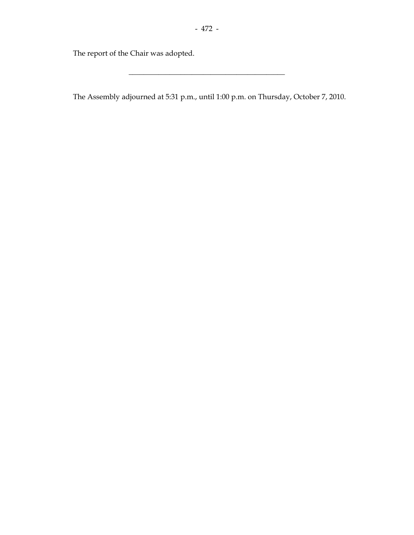The report of the Chair was adopted.

The Assembly adjourned at 5:31 p.m., until 1:00 p.m. on Thursday, October 7, 2010.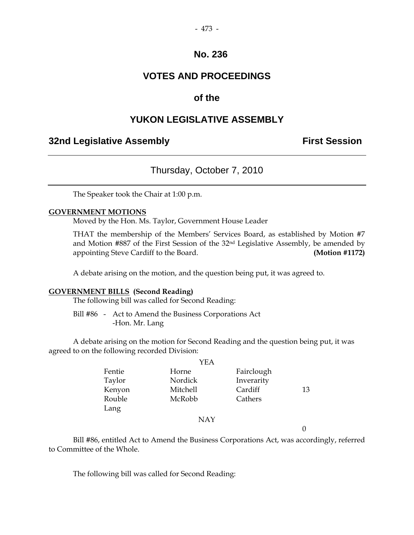#### - 473 -

## **No. 236**

# **VOTES AND PROCEEDINGS**

# **of the**

# **YUKON LEGISLATIVE ASSEMBLY**

## **32nd Legislative Assembly The Contract Session**

## Thursday, October 7, 2010

The Speaker took the Chair at 1:00 p.m.

#### **GOVERNMENT MOTIONS**

Moved by the Hon. Ms. Taylor, Government House Leader

 THAT the membership of the Members' Services Board, as established by Motion #7 and Motion #887 of the First Session of the 32nd Legislative Assembly, be amended by appointing Steve Cardiff to the Board. **(Motion #1172)**

A debate arising on the motion, and the question being put, it was agreed to.

#### **GOVERNMENT BILLS (Second Reading)**

The following bill was called for Second Reading:

 Bill #86 - Act to Amend the Business Corporations Act -Hon. Mr. Lang

 A debate arising on the motion for Second Reading and the question being put, it was agreed to on the following recorded Division:

|        | YEA        |            |    |
|--------|------------|------------|----|
| Fentie | Horne      | Fairclough |    |
| Taylor | Nordick    | Inverarity |    |
| Kenyon | Mitchell   | Cardiff    | 13 |
| Rouble | McRobb     | Cathers    |    |
| Lang   |            |            |    |
|        | <b>NAY</b> |            |    |

 $\theta$ 

 Bill #86, entitled Act to Amend the Business Corporations Act, was accordingly, referred to Committee of the Whole.

The following bill was called for Second Reading: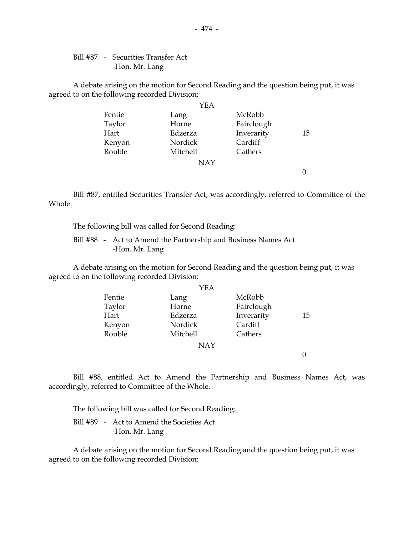Bill #87 - Securities Transfer Act -Hon. Mr. Lang

 A debate arising on the motion for Second Reading and the question being put, it was agreed to on the following recorded Division:

|        | YEA        |            |    |
|--------|------------|------------|----|
| Fentie | Lang       | McRobb     |    |
| Taylor | Horne      | Fairclough |    |
| Hart   | Edzerza    | Inverarity | 15 |
| Kenyon | Nordick    | Cardiff    |    |
| Rouble | Mitchell   | Cathers    |    |
|        | <b>NAY</b> |            |    |
|        |            |            |    |

 Bill #87, entitled Securities Transfer Act, was accordingly, referred to Committee of the Whole.

The following bill was called for Second Reading:

 Bill #88 - Act to Amend the Partnership and Business Names Act -Hon. Mr. Lang

 A debate arising on the motion for Second Reading and the question being put, it was agreed to on the following recorded Division:

|        | YEA        |            |    |
|--------|------------|------------|----|
| Fentie | Lang       | McRobb     |    |
| Taylor | Horne      | Fairclough |    |
| Hart   | Edzerza    | Inverarity | 15 |
| Kenyon | Nordick    | Cardiff    |    |
| Rouble | Mitchell   | Cathers    |    |
|        | <b>NAY</b> |            |    |
|        |            |            |    |

 Bill #88, entitled Act to Amend the Partnership and Business Names Act, was accordingly, referred to Committee of the Whole.

The following bill was called for Second Reading:

 Bill #89 - Act to Amend the Societies Act -Hon. Mr. Lang

 A debate arising on the motion for Second Reading and the question being put, it was agreed to on the following recorded Division: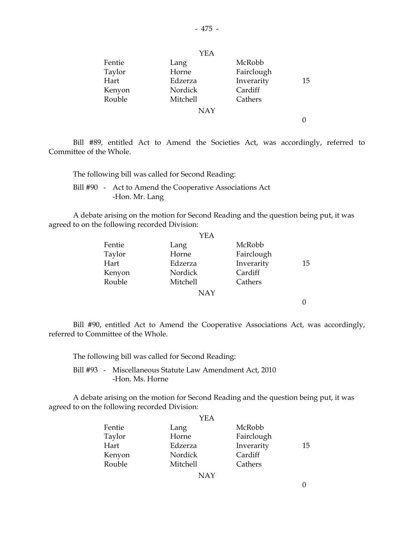|        | YEA        |            |    |
|--------|------------|------------|----|
| Fentie | Lang       | McRobb     |    |
| Taylor | Horne      | Fairclough |    |
| Hart   | Edzerza    | Inverarity | 15 |
| Kenyon | Nordick    | Cardiff    |    |
| Rouble | Mitchell   | Cathers    |    |
|        | <b>NAY</b> |            |    |
|        |            |            |    |

 Bill #89, entitled Act to Amend the Societies Act, was accordingly, referred to Committee of the Whole.

The following bill was called for Second Reading:

 Bill #90 - Act to Amend the Cooperative Associations Act -Hon. Mr. Lang

 A debate arising on the motion for Second Reading and the question being put, it was agreed to on the following recorded Division:

|        | YEA        |            |    |
|--------|------------|------------|----|
| Fentie | Lang       | McRobb     |    |
| Taylor | Horne      | Fairclough |    |
| Hart   | Edzerza    | Inverarity | 15 |
| Kenyon | Nordick    | Cardiff    |    |
| Rouble | Mitchell   | Cathers    |    |
|        | <b>NAY</b> |            |    |
|        |            |            |    |
|        |            |            |    |

 Bill #90, entitled Act to Amend the Cooperative Associations Act, was accordingly, referred to Committee of the Whole.

| The following bill was called for Second Reading:                           |
|-----------------------------------------------------------------------------|
| Bill #93 - Miscellaneous Statute Law Amendment Act, 2010<br>-Hon. Ms. Horne |

 A debate arising on the motion for Second Reading and the question being put, it was agreed to on the following recorded Division:

|        | YEA      |            |    |
|--------|----------|------------|----|
| Fentie | Lang     | McRobb     |    |
| Taylor | Horne    | Fairclough |    |
| Hart   | Edzerza  | Inverarity | 15 |
| Kenyon | Nordick  | Cardiff    |    |
| Rouble | Mitchell | Cathers    |    |
|        | NAY      |            |    |

0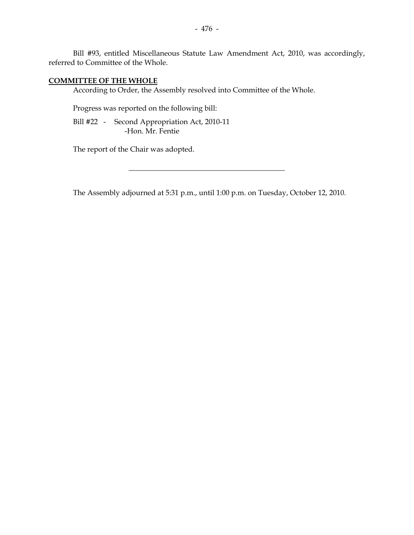Bill #93, entitled Miscellaneous Statute Law Amendment Act, 2010, was accordingly, referred to Committee of the Whole.

#### **COMMITTEE OF THE WHOLE**

According to Order, the Assembly resolved into Committee of the Whole.

Progress was reported on the following bill:

 Bill #22 - Second Appropriation Act, 2010-11 -Hon. Mr. Fentie

The report of the Chair was adopted.

The Assembly adjourned at 5:31 p.m., until 1:00 p.m. on Tuesday, October 12, 2010.

 $\overline{\phantom{a}}$  , and the set of the set of the set of the set of the set of the set of the set of the set of the set of the set of the set of the set of the set of the set of the set of the set of the set of the set of the s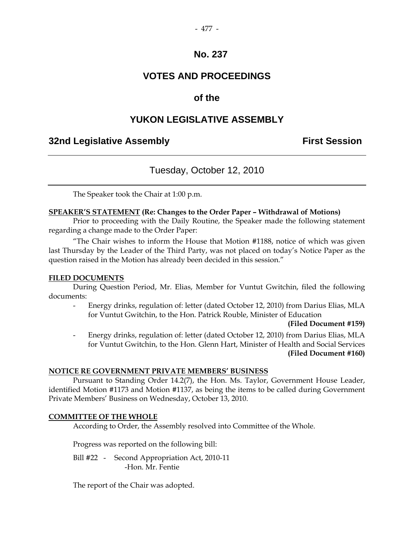- 477 -

# **VOTES AND PROCEEDINGS**

# **of the**

# **YUKON LEGISLATIVE ASSEMBLY**

# **32nd Legislative Assembly First Session**

# Tuesday, October 12, 2010

The Speaker took the Chair at 1:00 p.m.

## **SPEAKER'S STATEMENT (Re: Changes to the Order Paper – Withdrawal of Motions)**

 Prior to proceeding with the Daily Routine, the Speaker made the following statement regarding a change made to the Order Paper:

 "The Chair wishes to inform the House that Motion #1188, notice of which was given last Thursday by the Leader of the Third Party, was not placed on today's Notice Paper as the question raised in the Motion has already been decided in this session."

#### **FILED DOCUMENTS**

 During Question Period, Mr. Elias, Member for Vuntut Gwitchin, filed the following documents:

Energy drinks, regulation of: letter (dated October 12, 2010) from Darius Elias, MLA for Vuntut Gwitchin, to the Hon. Patrick Rouble, Minister of Education

#### **(Filed Document #159)**

Energy drinks, regulation of: letter (dated October 12, 2010) from Darius Elias, MLA for Vuntut Gwitchin, to the Hon. Glenn Hart, Minister of Health and Social Services **(Filed Document #160)**

#### **NOTICE RE GOVERNMENT PRIVATE MEMBERS' BUSINESS**

 Pursuant to Standing Order 14.2(7), the Hon. Ms. Taylor, Government House Leader, identified Motion #1173 and Motion #1137, as being the items to be called during Government Private Members' Business on Wednesday, October 13, 2010.

#### **COMMITTEE OF THE WHOLE**

According to Order, the Assembly resolved into Committee of the Whole.

Progress was reported on the following bill:

 Bill #22 - Second Appropriation Act, 2010-11 -Hon. Mr. Fentie

The report of the Chair was adopted.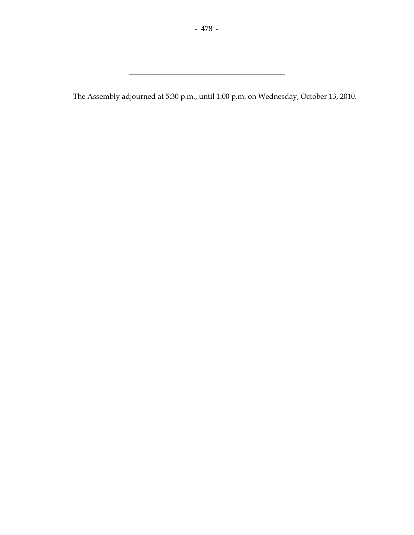The Assembly adjourned at 5:30 p.m., until 1:00 p.m. on Wednesday, October 13, 2010.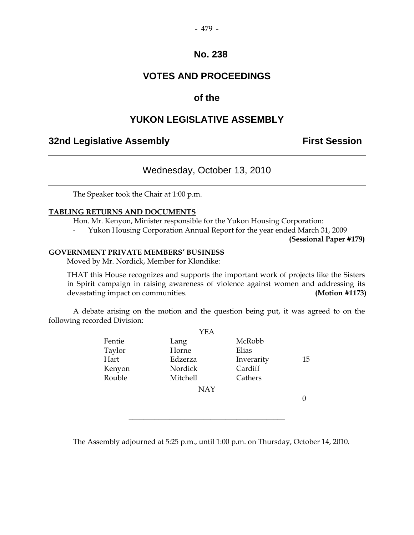# **VOTES AND PROCEEDINGS**

# **of the**

# **YUKON LEGISLATIVE ASSEMBLY**

# **32nd Legislative Assembly The Contract Session**

# Wednesday, October 13, 2010

The Speaker took the Chair at 1:00 p.m.

## **TABLING RETURNS AND DOCUMENTS**

Hon. Mr. Kenyon, Minister responsible for the Yukon Housing Corporation:

- Yukon Housing Corporation Annual Report for the year ended March 31, 2009

**(Sessional Paper #179)** 

#### **GOVERNMENT PRIVATE MEMBERS' BUSINESS**

Moved by Mr. Nordick, Member for Klondike:

 THAT this House recognizes and supports the important work of projects like the Sisters in Spirit campaign in raising awareness of violence against women and addressing its devastating impact on communities. **(Motion #1173)**

 A debate arising on the motion and the question being put, it was agreed to on the following recorded Division:

 $Y$ EA

|        | YEA        |            |    |
|--------|------------|------------|----|
| Fentie | Lang       | McRobb     |    |
| Taylor | Horne      | Elias      |    |
| Hart   | Edzerza    | Inverarity | 15 |
| Kenyon | Nordick    | Cardiff    |    |
| Rouble | Mitchell   | Cathers    |    |
|        | <b>NAY</b> |            |    |
|        |            |            |    |
|        |            |            |    |

The Assembly adjourned at 5:25 p.m., until 1:00 p.m. on Thursday, October 14, 2010.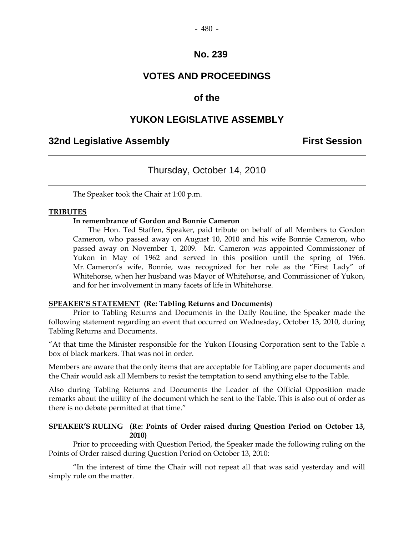# **VOTES AND PROCEEDINGS**

# **of the**

# **YUKON LEGISLATIVE ASSEMBLY**

# **32nd Legislative Assembly First Session**

# Thursday, October 14, 2010

The Speaker took the Chair at 1:00 p.m.

## **TRIBUTES**

## **In remembrance of Gordon and Bonnie Cameron**

 The Hon. Ted Staffen, Speaker, paid tribute on behalf of all Members to Gordon Cameron, who passed away on August 10, 2010 and his wife Bonnie Cameron, who passed away on November 1, 2009. Mr. Cameron was appointed Commissioner of Yukon in May of 1962 and served in this position until the spring of 1966. Mr. Cameron's wife, Bonnie, was recognized for her role as the "First Lady" of Whitehorse, when her husband was Mayor of Whitehorse, and Commissioner of Yukon, and for her involvement in many facets of life in Whitehorse.

#### **SPEAKER'S STATEMENT (Re: Tabling Returns and Documents)**

 Prior to Tabling Returns and Documents in the Daily Routine, the Speaker made the following statement regarding an event that occurred on Wednesday, October 13, 2010, during Tabling Returns and Documents.

"At that time the Minister responsible for the Yukon Housing Corporation sent to the Table a box of black markers. That was not in order.

Members are aware that the only items that are acceptable for Tabling are paper documents and the Chair would ask all Members to resist the temptation to send anything else to the Table.

Also during Tabling Returns and Documents the Leader of the Official Opposition made remarks about the utility of the document which he sent to the Table. This is also out of order as there is no debate permitted at that time."

#### **SPEAKER'S RULING (Re: Points of Order raised during Question Period on October 13, 2010)**

 Prior to proceeding with Question Period, the Speaker made the following ruling on the Points of Order raised during Question Period on October 13, 2010:

"In the interest of time the Chair will not repeat all that was said yesterday and will simply rule on the matter.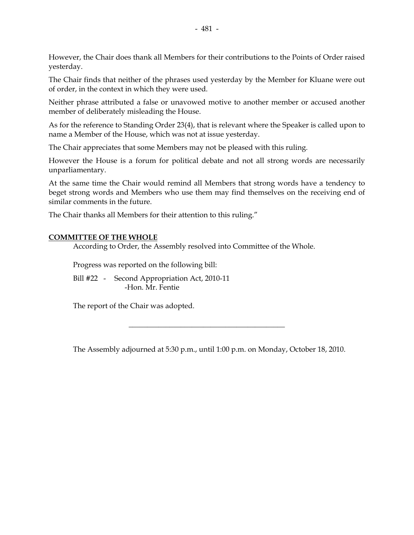However, the Chair does thank all Members for their contributions to the Points of Order raised yesterday.

The Chair finds that neither of the phrases used yesterday by the Member for Kluane were out of order, in the context in which they were used.

Neither phrase attributed a false or unavowed motive to another member or accused another member of deliberately misleading the House.

As for the reference to Standing Order 23(4), that is relevant where the Speaker is called upon to name a Member of the House, which was not at issue yesterday.

The Chair appreciates that some Members may not be pleased with this ruling.

However the House is a forum for political debate and not all strong words are necessarily unparliamentary.

At the same time the Chair would remind all Members that strong words have a tendency to beget strong words and Members who use them may find themselves on the receiving end of similar comments in the future.

The Chair thanks all Members for their attention to this ruling."

#### **COMMITTEE OF THE WHOLE**

According to Order, the Assembly resolved into Committee of the Whole.

Progress was reported on the following bill:

 Bill #22 - Second Appropriation Act, 2010-11 -Hon. Mr. Fentie

The report of the Chair was adopted.

The Assembly adjourned at 5:30 p.m., until 1:00 p.m. on Monday, October 18, 2010.

 $\overline{\phantom{a}}$  , and the set of the set of the set of the set of the set of the set of the set of the set of the set of the set of the set of the set of the set of the set of the set of the set of the set of the set of the s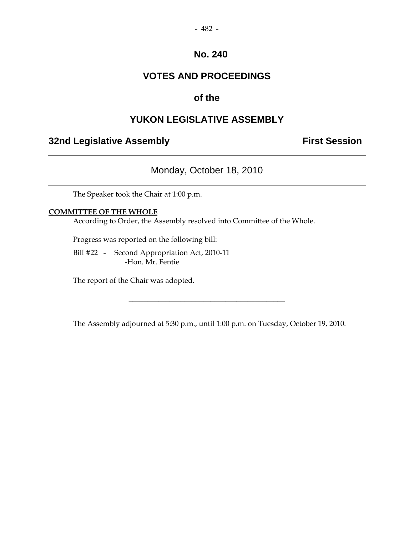#### - 482 -

# **No. 240**

# **VOTES AND PROCEEDINGS**

# **of the**

# **YUKON LEGISLATIVE ASSEMBLY**

# **32nd Legislative Assembly The Contract Session**

# Monday, October 18, 2010

The Speaker took the Chair at 1:00 p.m.

## **COMMITTEE OF THE WHOLE**

According to Order, the Assembly resolved into Committee of the Whole.

Progress was reported on the following bill:

 Bill #22 - Second Appropriation Act, 2010-11 -Hon. Mr. Fentie

The report of the Chair was adopted.

The Assembly adjourned at 5:30 p.m., until 1:00 p.m. on Tuesday, October 19, 2010.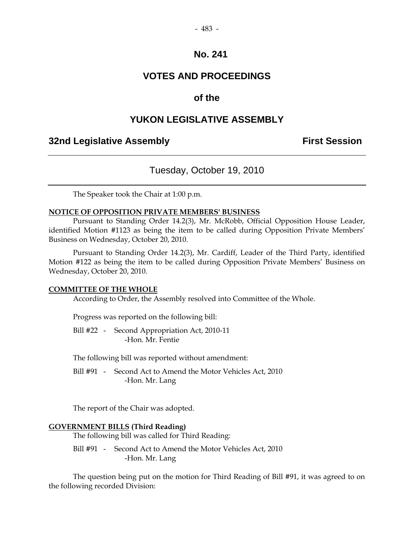# **VOTES AND PROCEEDINGS**

# **of the**

# **YUKON LEGISLATIVE ASSEMBLY**

# **32nd Legislative Assembly First Session**

# Tuesday, October 19, 2010

The Speaker took the Chair at 1:00 p.m.

#### **NOTICE OF OPPOSITION PRIVATE MEMBERS' BUSINESS**

 Pursuant to Standing Order 14.2(3), Mr. McRobb, Official Opposition House Leader, identified Motion #1123 as being the item to be called during Opposition Private Members' Business on Wednesday, October 20, 2010.

 Pursuant to Standing Order 14.2(3), Mr. Cardiff, Leader of the Third Party, identified Motion #122 as being the item to be called during Opposition Private Members' Business on Wednesday, October 20, 2010.

#### **COMMITTEE OF THE WHOLE**

According to Order, the Assembly resolved into Committee of the Whole.

Progress was reported on the following bill:

 Bill #22 - Second Appropriation Act, 2010-11 -Hon. Mr. Fentie

The following bill was reported without amendment:

 Bill #91 - Second Act to Amend the Motor Vehicles Act, 2010 -Hon. Mr. Lang

The report of the Chair was adopted.

#### **GOVERNMENT BILLS (Third Reading)**

The following bill was called for Third Reading:

Bill #91 - Second Act to Amend the Motor Vehicles Act, 2010 -Hon. Mr. Lang

 The question being put on the motion for Third Reading of Bill #91, it was agreed to on the following recorded Division: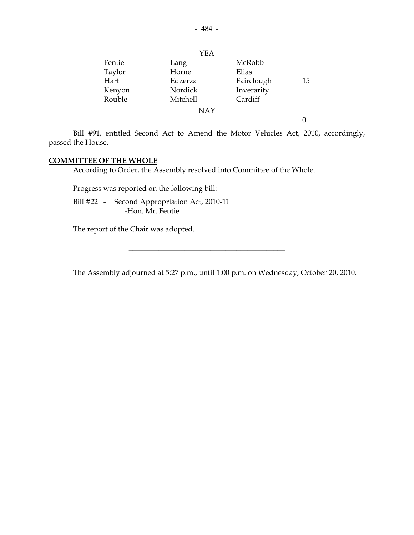|        | <b>YEA</b> |            |    |
|--------|------------|------------|----|
| Fentie | Lang       | McRobb     |    |
| Taylor | Horne      | Elias      |    |
| Hart   | Edzerza    | Fairclough | 15 |
| Kenyon | Nordick    | Inverarity |    |
| Rouble | Mitchell   | Cardiff    |    |
|        | <b>NAY</b> |            |    |
|        |            |            |    |

 Bill #91, entitled Second Act to Amend the Motor Vehicles Act, 2010, accordingly, passed the House.

## **COMMITTEE OF THE WHOLE**

According to Order, the Assembly resolved into Committee of the Whole.

Progress was reported on the following bill:

 Bill #22 - Second Appropriation Act, 2010-11 -Hon. Mr. Fentie

The report of the Chair was adopted.

The Assembly adjourned at 5:27 p.m., until 1:00 p.m. on Wednesday, October 20, 2010.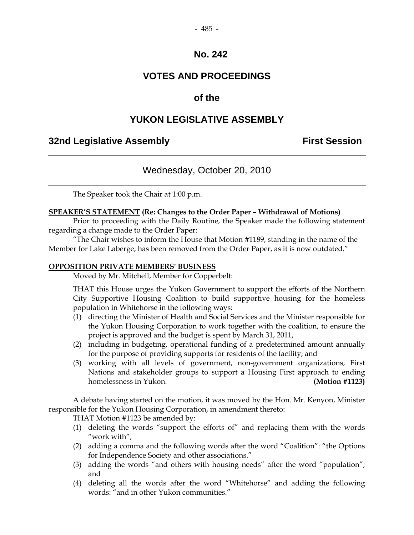# - 485 -

# **No. 242**

# **VOTES AND PROCEEDINGS**

# **of the**

# **YUKON LEGISLATIVE ASSEMBLY**

# **32nd Legislative Assembly First Session**

# Wednesday, October 20, 2010

The Speaker took the Chair at 1:00 p.m.

#### **SPEAKER'S STATEMENT (Re: Changes to the Order Paper – Withdrawal of Motions)**

 Prior to proceeding with the Daily Routine, the Speaker made the following statement regarding a change made to the Order Paper:

 "The Chair wishes to inform the House that Motion #1189, standing in the name of the Member for Lake Laberge, has been removed from the Order Paper, as it is now outdated."

#### **OPPOSITION PRIVATE MEMBERS' BUSINESS**

Moved by Mr. Mitchell, Member for Copperbelt:

THAT this House urges the Yukon Government to support the efforts of the Northern City Supportive Housing Coalition to build supportive housing for the homeless population in Whitehorse in the following ways:

- (1) directing the Minister of Health and Social Services and the Minister responsible for the Yukon Housing Corporation to work together with the coalition, to ensure the project is approved and the budget is spent by March 31, 2011,
- (2) including in budgeting, operational funding of a predetermined amount annually for the purpose of providing supports for residents of the facility; and
- (3) working with all levels of government, non-government organizations, First Nations and stakeholder groups to support a Housing First approach to ending homelessness in Yukon. **(Motion #1123)**

 A debate having started on the motion, it was moved by the Hon. Mr. Kenyon, Minister responsible for the Yukon Housing Corporation, in amendment thereto:

THAT Motion #1123 be amended by:

- (1) deleting the words "support the efforts of" and replacing them with the words "work with",
- (2) adding a comma and the following words after the word "Coalition": "the Options for Independence Society and other associations."
- (3) adding the words "and others with housing needs" after the word "population"; and
- (4) deleting all the words after the word "Whitehorse" and adding the following words: "and in other Yukon communities."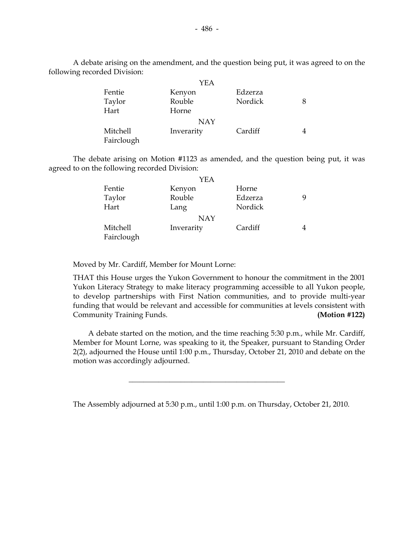A debate arising on the amendment, and the question being put, it was agreed to on the following recorded Division:

|            | YEA        |         |  |
|------------|------------|---------|--|
| Fentie     | Kenyon     | Edzerza |  |
| Taylor     | Rouble     | Nordick |  |
| Hart       | Horne      |         |  |
|            | <b>NAY</b> |         |  |
| Mitchell   | Inverarity | Cardiff |  |
| Fairclough |            |         |  |

 The debate arising on Motion #1123 as amended, and the question being put, it was agreed to on the following recorded Division:

|            | YEA        |         |  |
|------------|------------|---------|--|
| Fentie     | Kenyon     | Horne   |  |
| Taylor     | Rouble     | Edzerza |  |
| Hart       | Lang       | Nordick |  |
|            | NAY        |         |  |
| Mitchell   | Inverarity | Cardiff |  |
| Fairclough |            |         |  |

Moved by Mr. Cardiff, Member for Mount Lorne:

THAT this House urges the Yukon Government to honour the commitment in the 2001 Yukon Literacy Strategy to make literacy programming accessible to all Yukon people, to develop partnerships with First Nation communities, and to provide multi-year funding that would be relevant and accessible for communities at levels consistent with Community Training Funds. **(Motion #122)** 

 A debate started on the motion, and the time reaching 5:30 p.m., while Mr. Cardiff, Member for Mount Lorne, was speaking to it, the Speaker, pursuant to Standing Order 2(2), adjourned the House until 1:00 p.m., Thursday, October 21, 2010 and debate on the motion was accordingly adjourned.

The Assembly adjourned at 5:30 p.m., until 1:00 p.m. on Thursday, October 21, 2010.

 $\overline{\phantom{a}}$  , and the set of the set of the set of the set of the set of the set of the set of the set of the set of the set of the set of the set of the set of the set of the set of the set of the set of the set of the s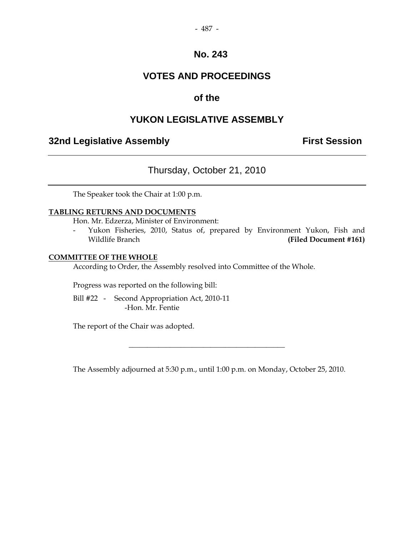#### - 487 -

# **No. 243**

# **VOTES AND PROCEEDINGS**

# **of the**

# **YUKON LEGISLATIVE ASSEMBLY**

# **32nd Legislative Assembly The Contract Session**

# Thursday, October 21, 2010

The Speaker took the Chair at 1:00 p.m.

#### **TABLING RETURNS AND DOCUMENTS**

Hon. Mr. Edzerza, Minister of Environment:

 - Yukon Fisheries, 2010, Status of, prepared by Environment Yukon, Fish and Wildlife Branch **(Filed Document #161)** 

#### **COMMITTEE OF THE WHOLE**

According to Order, the Assembly resolved into Committee of the Whole.

Progress was reported on the following bill:

 Bill #22 - Second Appropriation Act, 2010-11 -Hon. Mr. Fentie

The report of the Chair was adopted.

The Assembly adjourned at 5:30 p.m., until 1:00 p.m. on Monday, October 25, 2010.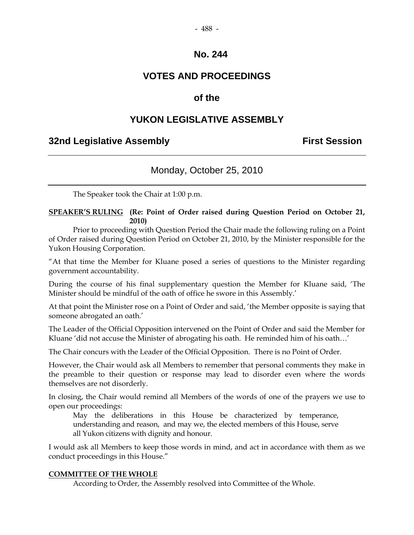# **VOTES AND PROCEEDINGS**

# **of the**

# **YUKON LEGISLATIVE ASSEMBLY**

# **32nd Legislative Assembly First Session**

# Monday, October 25, 2010

The Speaker took the Chair at 1:00 p.m.

## **SPEAKER'S RULING (Re: Point of Order raised during Question Period on October 21, 2010)**

Prior to proceeding with Question Period the Chair made the following ruling on a Point of Order raised during Question Period on October 21, 2010, by the Minister responsible for the Yukon Housing Corporation.

"At that time the Member for Kluane posed a series of questions to the Minister regarding government accountability.

During the course of his final supplementary question the Member for Kluane said, 'The Minister should be mindful of the oath of office he swore in this Assembly.'

At that point the Minister rose on a Point of Order and said, 'the Member opposite is saying that someone abrogated an oath.'

The Leader of the Official Opposition intervened on the Point of Order and said the Member for Kluane 'did not accuse the Minister of abrogating his oath. He reminded him of his oath…'

The Chair concurs with the Leader of the Official Opposition. There is no Point of Order.

However, the Chair would ask all Members to remember that personal comments they make in the preamble to their question or response may lead to disorder even where the words themselves are not disorderly.

In closing, the Chair would remind all Members of the words of one of the prayers we use to open our proceedings:

 May the deliberations in this House be characterized by temperance, understanding and reason, and may we, the elected members of this House, serve all Yukon citizens with dignity and honour.

I would ask all Members to keep those words in mind, and act in accordance with them as we conduct proceedings in this House."

## **COMMITTEE OF THE WHOLE**

According to Order, the Assembly resolved into Committee of the Whole.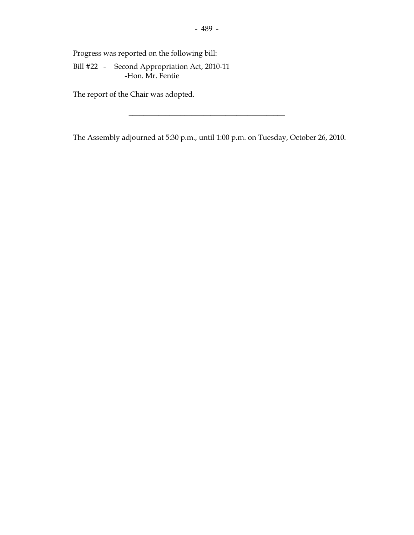Progress was reported on the following bill:

 Bill #22 - Second Appropriation Act, 2010-11 -Hon. Mr. Fentie

The report of the Chair was adopted.

The Assembly adjourned at 5:30 p.m., until 1:00 p.m. on Tuesday, October 26, 2010.

\_\_\_\_\_\_\_\_\_\_\_\_\_\_\_\_\_\_\_\_\_\_\_\_\_\_\_\_\_\_\_\_\_\_\_\_\_\_\_\_\_\_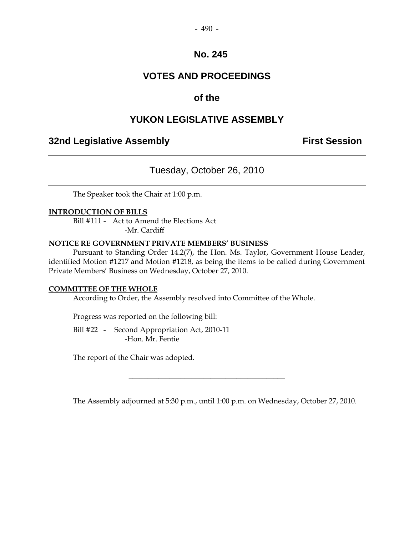#### - 490 -

## **No. 245**

## **VOTES AND PROCEEDINGS**

## **of the**

## **YUKON LEGISLATIVE ASSEMBLY**

## **32nd Legislative Assembly First Session**

## Tuesday, October 26, 2010

The Speaker took the Chair at 1:00 p.m.

#### **INTRODUCTION OF BILLS**

 Bill #111 - Act to Amend the Elections Act -Mr. Cardiff

#### **NOTICE RE GOVERNMENT PRIVATE MEMBERS' BUSINESS**

 Pursuant to Standing Order 14.2(7), the Hon. Ms. Taylor, Government House Leader, identified Motion #1217 and Motion #1218, as being the items to be called during Government Private Members' Business on Wednesday, October 27, 2010.

#### **COMMITTEE OF THE WHOLE**

According to Order, the Assembly resolved into Committee of the Whole.

Progress was reported on the following bill:

 Bill #22 - Second Appropriation Act, 2010-11 -Hon. Mr. Fentie

The report of the Chair was adopted.

The Assembly adjourned at 5:30 p.m., until 1:00 p.m. on Wednesday, October 27, 2010.

\_\_\_\_\_\_\_\_\_\_\_\_\_\_\_\_\_\_\_\_\_\_\_\_\_\_\_\_\_\_\_\_\_\_\_\_\_\_\_\_\_\_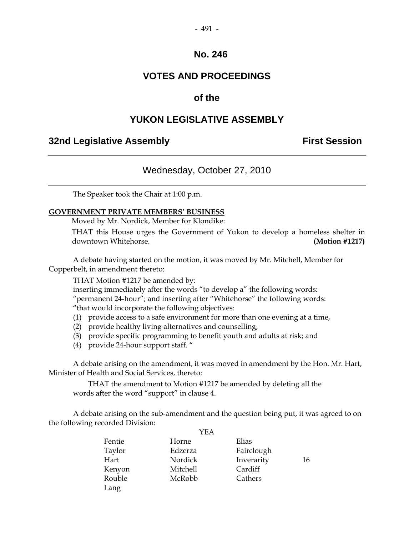#### - 491 -

#### **No. 246**

## **VOTES AND PROCEEDINGS**

## **of the**

## **YUKON LEGISLATIVE ASSEMBLY**

## **32nd Legislative Assembly First Session**

## Wednesday, October 27, 2010

The Speaker took the Chair at 1:00 p.m.

#### **GOVERNMENT PRIVATE MEMBERS' BUSINESS**

Moved by Mr. Nordick, Member for Klondike:

 THAT this House urges the Government of Yukon to develop a homeless shelter in downtown Whitehorse. **(Motion #1217)** 

 A debate having started on the motion, it was moved by Mr. Mitchell, Member for Copperbelt, in amendment thereto:

THAT Motion #1217 be amended by:

inserting immediately after the words "to develop a" the following words:

"permanent 24-hour"; and inserting after "Whitehorse" the following words:

"that would incorporate the following objectives:

- (1) provide access to a safe environment for more than one evening at a time,
- (2) provide healthy living alternatives and counselling,
- (3) provide specific programming to benefit youth and adults at risk; and
- (4) provide 24-hour support staff. "

 A debate arising on the amendment, it was moved in amendment by the Hon. Mr. Hart, Minister of Health and Social Services, thereto:

 THAT the amendment to Motion #1217 be amended by deleting all the words after the word "support" in clause 4.

 A debate arising on the sub-amendment and the question being put, it was agreed to on the following recorded Division:  $Y<sub>E</sub>$ 

|        | I EA     |            |    |
|--------|----------|------------|----|
| Fentie | Horne    | Elias      |    |
| Taylor | Edzerza  | Fairclough |    |
| Hart   | Nordick  | Inverarity | 16 |
| Kenyon | Mitchell | Cardiff    |    |
| Rouble | McRobb   | Cathers    |    |
| Lang   |          |            |    |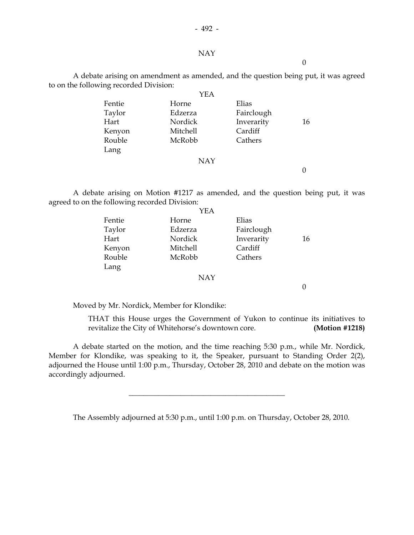#### NAY

 $\theta$ 

 A debate arising on amendment as amended, and the question being put, it was agreed to on the following recorded Division:

| Horne      | Elias      |    |
|------------|------------|----|
| Edzerza    | Fairclough |    |
| Nordick    | Inverarity | 16 |
| Mitchell   | Cardiff    |    |
| McRobb     | Cathers    |    |
|            |            |    |
| <b>NAY</b> |            |    |
|            |            |    |
|            | <b>YEA</b> |    |

 A debate arising on Motion #1217 as amended, and the question being put, it was agreed to on the following recorded Division:

|        | YEA        |            |    |
|--------|------------|------------|----|
| Fentie | Horne      | Elias      |    |
| Taylor | Edzerza    | Fairclough |    |
| Hart   | Nordick    | Inverarity | 16 |
| Kenyon | Mitchell   | Cardiff    |    |
| Rouble | McRobb     | Cathers    |    |
| Lang   |            |            |    |
|        | <b>NAY</b> |            |    |

0

Moved by Mr. Nordick, Member for Klondike:

 THAT this House urges the Government of Yukon to continue its initiatives to revitalize the City of Whitehorse's downtown core. **(Motion #1218)** 

 A debate started on the motion, and the time reaching 5:30 p.m., while Mr. Nordick, Member for Klondike, was speaking to it, the Speaker, pursuant to Standing Order 2(2), adjourned the House until 1:00 p.m., Thursday, October 28, 2010 and debate on the motion was accordingly adjourned.

\_\_\_\_\_\_\_\_\_\_\_\_\_\_\_\_\_\_\_\_\_\_\_\_\_\_\_\_\_\_\_\_\_\_\_\_\_\_\_\_\_\_

The Assembly adjourned at 5:30 p.m., until 1:00 p.m. on Thursday, October 28, 2010.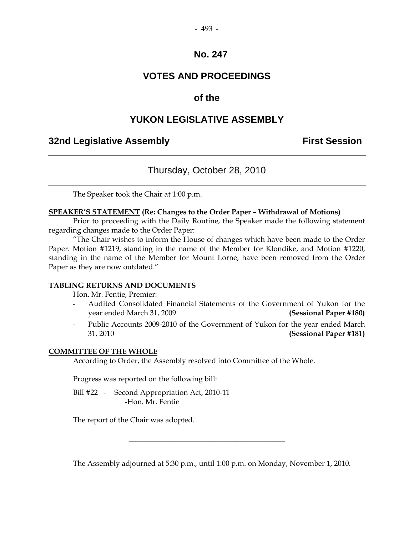## - 493 -

## **No. 247**

## **VOTES AND PROCEEDINGS**

## **of the**

## **YUKON LEGISLATIVE ASSEMBLY**

## **32nd Legislative Assembly First Session**

## Thursday, October 28, 2010

The Speaker took the Chair at 1:00 p.m.

#### **SPEAKER'S STATEMENT (Re: Changes to the Order Paper – Withdrawal of Motions)**

 Prior to proceeding with the Daily Routine, the Speaker made the following statement regarding changes made to the Order Paper:

 "The Chair wishes to inform the House of changes which have been made to the Order Paper. Motion #1219, standing in the name of the Member for Klondike, and Motion #1220, standing in the name of the Member for Mount Lorne, have been removed from the Order Paper as they are now outdated."

#### **TABLING RETURNS AND DOCUMENTS**

Hon. Mr. Fentie, Premier:

- Audited Consolidated Financial Statements of the Government of Yukon for the year ended March 31, 2009 **(Sessional Paper #180)**
- Public Accounts 2009-2010 of the Government of Yukon for the year ended March 31, 2010 **(Sessional Paper #181)**

#### **COMMITTEE OF THE WHOLE**

According to Order, the Assembly resolved into Committee of the Whole.

Progress was reported on the following bill:

 Bill #22 - Second Appropriation Act, 2010-11 -Hon. Mr. Fentie

The report of the Chair was adopted.

The Assembly adjourned at 5:30 p.m., until 1:00 p.m. on Monday, November 1, 2010.

\_\_\_\_\_\_\_\_\_\_\_\_\_\_\_\_\_\_\_\_\_\_\_\_\_\_\_\_\_\_\_\_\_\_\_\_\_\_\_\_\_\_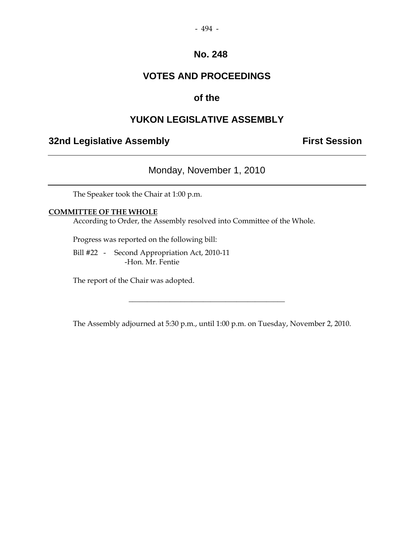#### - 494 -

## **No. 248**

## **VOTES AND PROCEEDINGS**

## **of the**

## **YUKON LEGISLATIVE ASSEMBLY**

## **32nd Legislative Assembly The Contract Session**

## Monday, November 1, 2010

The Speaker took the Chair at 1:00 p.m.

#### **COMMITTEE OF THE WHOLE**

According to Order, the Assembly resolved into Committee of the Whole.

Progress was reported on the following bill:

 Bill #22 - Second Appropriation Act, 2010-11 -Hon. Mr. Fentie

The report of the Chair was adopted.

The Assembly adjourned at 5:30 p.m., until 1:00 p.m. on Tuesday, November 2, 2010.

\_\_\_\_\_\_\_\_\_\_\_\_\_\_\_\_\_\_\_\_\_\_\_\_\_\_\_\_\_\_\_\_\_\_\_\_\_\_\_\_\_\_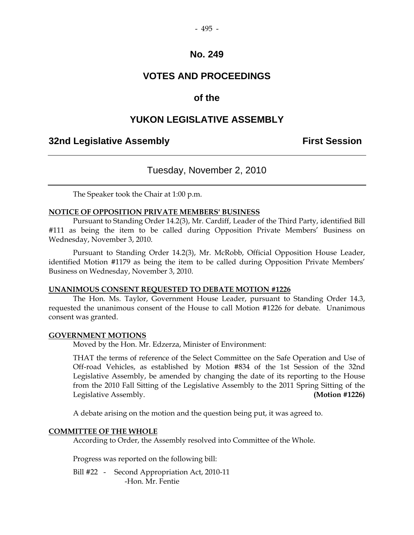#### - 495 -

## **No. 249**

## **VOTES AND PROCEEDINGS**

## **of the**

## **YUKON LEGISLATIVE ASSEMBLY**

## **32nd Legislative Assembly First Session**

## Tuesday, November 2, 2010

The Speaker took the Chair at 1:00 p.m.

#### **NOTICE OF OPPOSITION PRIVATE MEMBERS' BUSINESS**

 Pursuant to Standing Order 14.2(3), Mr. Cardiff, Leader of the Third Party, identified Bill #111 as being the item to be called during Opposition Private Members' Business on Wednesday, November 3, 2010.

 Pursuant to Standing Order 14.2(3), Mr. McRobb, Official Opposition House Leader, identified Motion #1179 as being the item to be called during Opposition Private Members' Business on Wednesday, November 3, 2010.

#### **UNANIMOUS CONSENT REQUESTED TO DEBATE MOTION #1226**

 The Hon. Ms. Taylor, Government House Leader, pursuant to Standing Order 14.3, requested the unanimous consent of the House to call Motion #1226 for debate. Unanimous consent was granted.

#### **GOVERNMENT MOTIONS**

Moved by the Hon. Mr. Edzerza, Minister of Environment:

 THAT the terms of reference of the Select Committee on the Safe Operation and Use of Off-road Vehicles, as established by Motion #834 of the 1st Session of the 32nd Legislative Assembly, be amended by changing the date of its reporting to the House from the 2010 Fall Sitting of the Legislative Assembly to the 2011 Spring Sitting of the Legislative Assembly. **(Motion #1226)** 

A debate arising on the motion and the question being put, it was agreed to.

#### **COMMITTEE OF THE WHOLE**

According to Order, the Assembly resolved into Committee of the Whole.

Progress was reported on the following bill:

 Bill #22 - Second Appropriation Act, 2010-11 -Hon. Mr. Fentie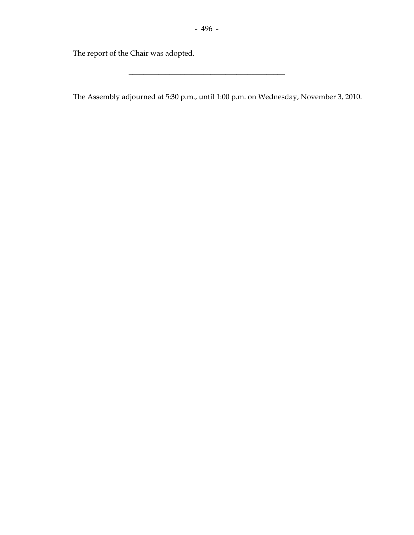\_\_\_\_\_\_\_\_\_\_\_\_\_\_\_\_\_\_\_\_\_\_\_\_\_\_\_\_\_\_\_\_\_\_\_\_\_\_\_\_\_\_

The report of the Chair was adopted.

The Assembly adjourned at 5:30 p.m., until 1:00 p.m. on Wednesday, November 3, 2010.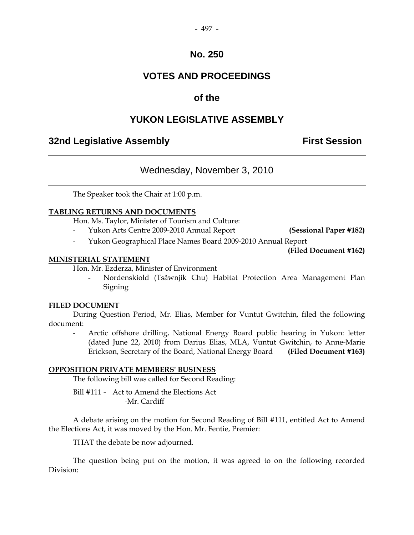#### - 497 -

## **No. 250**

## **VOTES AND PROCEEDINGS**

## **of the**

## **YUKON LEGISLATIVE ASSEMBLY**

## **32nd Legislative Assembly First Session**

## Wednesday, November 3, 2010

The Speaker took the Chair at 1:00 p.m.

#### **TABLING RETURNS AND DOCUMENTS**

Hon. Ms. Taylor, Minister of Tourism and Culture:

- Yukon Arts Centre 2009-2010 Annual Report **(Sessional Paper #182)**
- Yukon Geographical Place Names Board 2009-2010 Annual Report

**(Filed Document #162)** 

#### **MINISTERIAL STATEMENT**

Hon. Mr. Ezderza, Minister of Environment

 - Nordenskiold (Tsâwnjik Chu) Habitat Protection Area Management Plan **Signing** 

#### **FILED DOCUMENT**

 During Question Period, Mr. Elias, Member for Vuntut Gwitchin, filed the following document:

Arctic offshore drilling, National Energy Board public hearing in Yukon: letter (dated June 22, 2010) from Darius Elias, MLA, Vuntut Gwitchin, to Anne-Marie Erickson, Secretary of the Board, National Energy Board **(Filed Document #163)** 

#### **OPPOSITION PRIVATE MEMBERS' BUSINESS**

The following bill was called for Second Reading:

 Bill #111 - Act to Amend the Elections Act -Mr. Cardiff

 A debate arising on the motion for Second Reading of Bill #111, entitled Act to Amend the Elections Act, it was moved by the Hon. Mr. Fentie, Premier:

THAT the debate be now adjourned.

 The question being put on the motion, it was agreed to on the following recorded Division: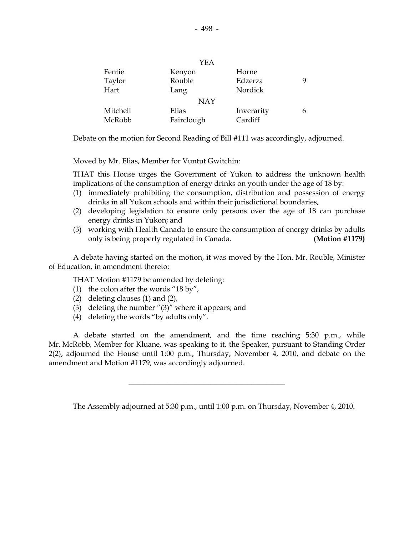| YEA      |            |            |   |  |
|----------|------------|------------|---|--|
| Fentie   | Kenyon     | Horne      |   |  |
| Taylor   | Rouble     | Edzerza    |   |  |
| Hart     | Lang       | Nordick    |   |  |
|          | <b>NAY</b> |            |   |  |
| Mitchell | Elias      | Inverarity | h |  |
| McRobb   | Fairclough | Cardiff    |   |  |

Debate on the motion for Second Reading of Bill #111 was accordingly, adjourned.

Moved by Mr. Elias, Member for Vuntut Gwitchin:

 THAT this House urges the Government of Yukon to address the unknown health implications of the consumption of energy drinks on youth under the age of 18 by:

- (1) immediately prohibiting the consumption, distribution and possession of energy drinks in all Yukon schools and within their jurisdictional boundaries,
- (2) developing legislation to ensure only persons over the age of 18 can purchase energy drinks in Yukon; and
- (3) working with Health Canada to ensure the consumption of energy drinks by adults only is being properly regulated in Canada. **(Motion #1179)**

 A debate having started on the motion, it was moved by the Hon. Mr. Rouble, Minister of Education, in amendment thereto:

THAT Motion #1179 be amended by deleting:

- (1) the colon after the words "18 by",
- (2) deleting clauses (1) and (2),
- (3) deleting the number "(3)" where it appears; and
- (4) deleting the words "by adults only".

 A debate started on the amendment, and the time reaching 5:30 p.m., while Mr. McRobb, Member for Kluane, was speaking to it, the Speaker, pursuant to Standing Order 2(2), adjourned the House until 1:00 p.m., Thursday, November 4, 2010, and debate on the amendment and Motion #1179, was accordingly adjourned.

\_\_\_\_\_\_\_\_\_\_\_\_\_\_\_\_\_\_\_\_\_\_\_\_\_\_\_\_\_\_\_\_\_\_\_\_\_\_\_\_\_\_

The Assembly adjourned at 5:30 p.m., until 1:00 p.m. on Thursday, November 4, 2010.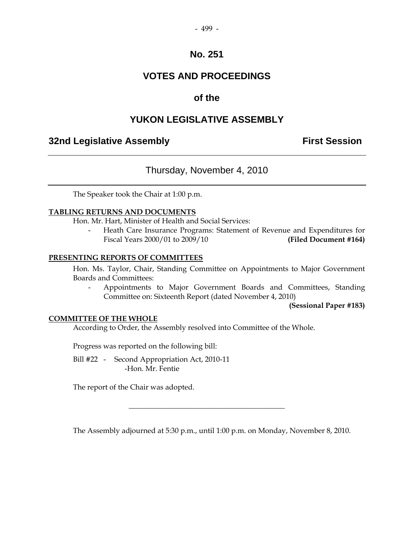#### - 499 -

## **No. 251**

## **VOTES AND PROCEEDINGS**

## **of the**

## **YUKON LEGISLATIVE ASSEMBLY**

## **32nd Legislative Assembly First Session**

## Thursday, November 4, 2010

The Speaker took the Chair at 1:00 p.m.

#### **TABLING RETURNS AND DOCUMENTS**

Hon. Mr. Hart, Minister of Health and Social Services:

 - Heath Care Insurance Programs: Statement of Revenue and Expenditures for Fiscal Years 2000/01 to 2009/10 **(Filed Document #164)** 

#### **PRESENTING REPORTS OF COMMITTEES**

 Hon. Ms. Taylor, Chair, Standing Committee on Appointments to Major Government Boards and Committees:

 - Appointments to Major Government Boards and Committees, Standing Committee on: Sixteenth Report (dated November 4, 2010)

**(Sessional Paper #183)**

#### **COMMITTEE OF THE WHOLE**

According to Order, the Assembly resolved into Committee of the Whole.

Progress was reported on the following bill:

 Bill #22 - Second Appropriation Act, 2010-11 -Hon. Mr. Fentie

The report of the Chair was adopted.

The Assembly adjourned at 5:30 p.m., until 1:00 p.m. on Monday, November 8, 2010.

 $\overline{\phantom{a}}$  , and the set of the set of the set of the set of the set of the set of the set of the set of the set of the set of the set of the set of the set of the set of the set of the set of the set of the set of the s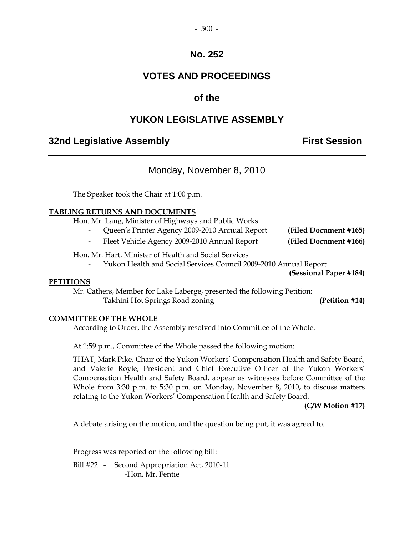#### - 500 -

## **No. 252**

## **VOTES AND PROCEEDINGS**

## **of the**

## **YUKON LEGISLATIVE ASSEMBLY**

## **32nd Legislative Assembly First Session**

## Monday, November 8, 2010

The Speaker took the Chair at 1:00 p.m.

#### **TABLING RETURNS AND DOCUMENTS**

Hon. Mr. Lang, Minister of Highways and Public Works

- Queen's Printer Agency 2009-2010 Annual Report **(Filed Document #165)** 
	- Fleet Vehicle Agency 2009-2010 Annual Report **(Filed Document #166)**

Hon. Mr. Hart, Minister of Health and Social Services

- Yukon Health and Social Services Council 2009-2010 Annual Report

**(Sessional Paper #184)** 

#### **PETITIONS**

Mr. Cathers, Member for Lake Laberge, presented the following Petition:

Takhini Hot Springs Road zoning **(Petition #14)** 

#### **COMMITTEE OF THE WHOLE**

According to Order, the Assembly resolved into Committee of the Whole.

At 1:59 p.m., Committee of the Whole passed the following motion:

 THAT, Mark Pike, Chair of the Yukon Workers' Compensation Health and Safety Board, and Valerie Royle, President and Chief Executive Officer of the Yukon Workers' Compensation Health and Safety Board, appear as witnesses before Committee of the Whole from 3:30 p.m. to 5:30 p.m. on Monday, November 8, 2010, to discuss matters relating to the Yukon Workers' Compensation Health and Safety Board.

**(C/W Motion #17)** 

A debate arising on the motion, and the question being put, it was agreed to.

Progress was reported on the following bill:

 Bill #22 - Second Appropriation Act, 2010-11 -Hon. Mr. Fentie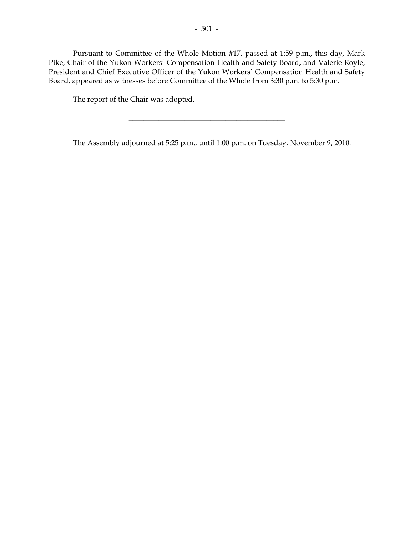Pursuant to Committee of the Whole Motion #17, passed at 1:59 p.m., this day, Mark Pike, Chair of the Yukon Workers' Compensation Health and Safety Board, and Valerie Royle, President and Chief Executive Officer of the Yukon Workers' Compensation Health and Safety Board, appeared as witnesses before Committee of the Whole from 3:30 p.m. to 5:30 p.m.

The report of the Chair was adopted.

The Assembly adjourned at 5:25 p.m., until 1:00 p.m. on Tuesday, November 9, 2010.

 $\overline{\phantom{a}}$  , and the set of the set of the set of the set of the set of the set of the set of the set of the set of the set of the set of the set of the set of the set of the set of the set of the set of the set of the s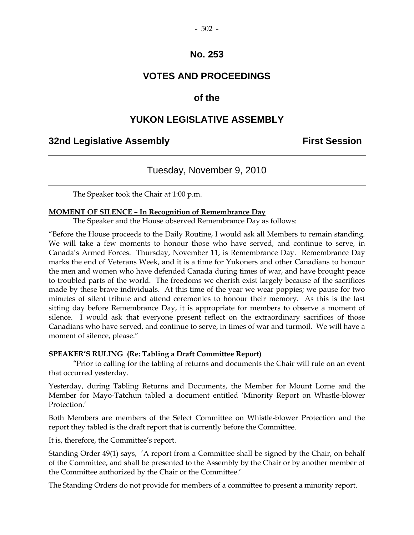## **No. 253**

## **VOTES AND PROCEEDINGS**

## **of the**

## **YUKON LEGISLATIVE ASSEMBLY**

## **32nd Legislative Assembly First Session**

## Tuesday, November 9, 2010

The Speaker took the Chair at 1:00 p.m.

#### **MOMENT OF SILENCE – In Recognition of Remembrance Day**

The Speaker and the House observed Remembrance Day as follows:

"Before the House proceeds to the Daily Routine, I would ask all Members to remain standing. We will take a few moments to honour those who have served, and continue to serve, in Canada's Armed Forces. Thursday, November 11, is Remembrance Day. Remembrance Day marks the end of Veterans Week, and it is a time for Yukoners and other Canadians to honour the men and women who have defended Canada during times of war, and have brought peace to troubled parts of the world. The freedoms we cherish exist largely because of the sacrifices made by these brave individuals. At this time of the year we wear poppies; we pause for two minutes of silent tribute and attend ceremonies to honour their memory. As this is the last sitting day before Remembrance Day, it is appropriate for members to observe a moment of silence. I would ask that everyone present reflect on the extraordinary sacrifices of those Canadians who have served, and continue to serve, in times of war and turmoil. We will have a moment of silence, please."

#### **SPEAKER'S RULING (Re: Tabling a Draft Committee Report)**

 "Prior to calling for the tabling of returns and documents the Chair will rule on an event that occurred yesterday.

Yesterday, during Tabling Returns and Documents, the Member for Mount Lorne and the Member for Mayo-Tatchun tabled a document entitled 'Minority Report on Whistle-blower Protection<sup>'</sup>

Both Members are members of the Select Committee on Whistle-blower Protection and the report they tabled is the draft report that is currently before the Committee.

It is, therefore, the Committee's report.

Standing Order 49(1) says, 'A report from a Committee shall be signed by the Chair, on behalf of the Committee, and shall be presented to the Assembly by the Chair or by another member of the Committee authorized by the Chair or the Committee.'

The Standing Orders do not provide for members of a committee to present a minority report.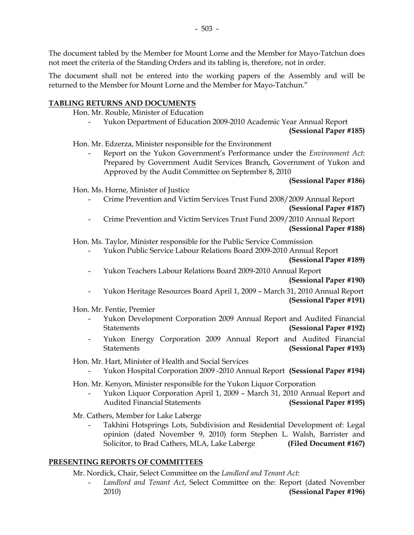The document tabled by the Member for Mount Lorne and the Member for Mayo-Tatchun does not meet the criteria of the Standing Orders and its tabling is, therefore, not in order.

The document shall not be entered into the working papers of the Assembly and will be returned to the Member for Mount Lorne and the Member for Mayo-Tatchun."

#### **TABLING RETURNS AND DOCUMENTS**

Hon. Mr. Rouble, Minister of Education

Yukon Department of Education 2009-2010 Academic Year Annual Report

#### **(Sessional Paper #185)**

Hon. Mr. Edzerza, Minister responsible for the Environment

 - Report on the Yukon Government's Performance under the *Environment Act*: Prepared by Government Audit Services Branch, Government of Yukon and Approved by the Audit Committee on September 8, 2010

#### **(Sessional Paper #186)**

Hon. Ms. Horne, Minister of Justice

- Crime Prevention and Victim Services Trust Fund 2008/2009 Annual Report **(Sessional Paper #187)**
- Crime Prevention and Victim Services Trust Fund 2009/2010 Annual Report **(Sessional Paper #188)**

Hon. Ms. Taylor, Minister responsible for the Public Service Commission

- Yukon Public Service Labour Relations Board 2009-2010 Annual Report

#### **(Sessional Paper #189)**

- Yukon Teachers Labour Relations Board 2009-2010 Annual Report

#### **(Sessional Paper #190)**

- Yukon Heritage Resources Board April 1, 2009 – March 31, 2010 Annual Report

#### **(Sessional Paper #191)**

Hon. Mr. Fentie, Premier

- Yukon Development Corporation 2009 Annual Report and Audited Financial Statements **(Sessional Paper #192)**
- Yukon Energy Corporation 2009 Annual Report and Audited Financial Statements **(Sessional Paper #193)**

Hon. Mr. Hart, Minister of Health and Social Services

- Yukon Hospital Corporation 2009 -2010 Annual Report **(Sessional Paper #194)**

Hon. Mr. Kenyon, Minister responsible for the Yukon Liquor Corporation

 - Yukon Liquor Corporation April 1, 2009 – March 31, 2010 Annual Report and Audited Financial Statements **(Sessional Paper #195)**

Mr. Cathers, Member for Lake Laberge

Takhini Hotsprings Lots, Subdivision and Residential Development of: Legal opinion (dated November 9, 2010) form Stephen L. Walsh, Barrister and Solicitor, to Brad Cathers, MLA, Lake Laberge **(Filed Document #167)** 

#### **PRESENTING REPORTS OF COMMITTEES**

Mr. Nordick, Chair, Select Committee on the *Landlord and Tenant Act*:

Landlord and Tenant Act, Select Committee on the: Report (dated November 2010) **(Sessional Paper #196)**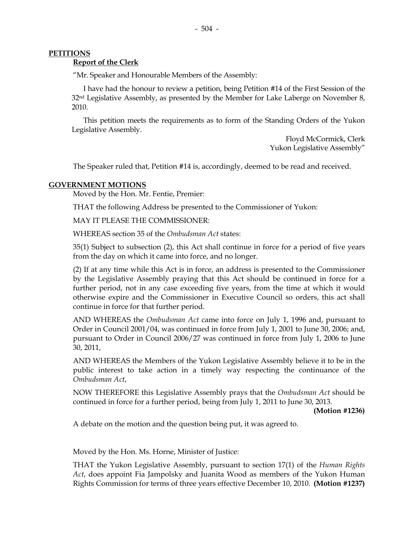#### **PETITIONS**

#### **Report of the Clerk**

"Mr. Speaker and Honourable Members of the Assembly:

 I have had the honour to review a petition, being Petition #14 of the First Session of the 32<sup>nd</sup> Legislative Assembly, as presented by the Member for Lake Laberge on November 8, 2010.

 This petition meets the requirements as to form of the Standing Orders of the Yukon Legislative Assembly.

> Floyd McCormick, Clerk Yukon Legislative Assembly"

The Speaker ruled that, Petition #14 is, accordingly, deemed to be read and received.

#### **GOVERNMENT MOTIONS**

Moved by the Hon. Mr. Fentie, Premier:

THAT the following Address be presented to the Commissioner of Yukon:

MAY IT PLEASE THE COMMISSIONER:

WHEREAS section 35 of the *Ombudsman Act* states:

 35(1) Subject to subsection (2), this Act shall continue in force for a period of five years from the day on which it came into force, and no longer.

 (2) If at any time while this Act is in force, an address is presented to the Commissioner by the Legislative Assembly praying that this Act should be continued in force for a further period, not in any case exceeding five years, from the time at which it would otherwise expire and the Commissioner in Executive Council so orders, this act shall continue in force for that further period.

 AND WHEREAS the *Ombudsman Act* came into force on July 1, 1996 and, pursuant to Order in Council 2001/04, was continued in force from July 1, 2001 to June 30, 2006; and, pursuant to Order in Council 2006/27 was continued in force from July 1, 2006 to June 30, 2011,

 AND WHEREAS the Members of the Yukon Legislative Assembly believe it to be in the public interest to take action in a timely way respecting the continuance of the *Ombudsman Act*,

 NOW THEREFORE this Legislative Assembly prays that the *Ombudsman Act* should be continued in force for a further period, being from July 1, 2011 to June 30, 2013.

**(Motion #1236)** 

A debate on the motion and the question being put, it was agreed to.

Moved by the Hon. Ms. Horne, Minister of Justice:

 THAT the Yukon Legislative Assembly, pursuant to section 17(1) of the *Human Rights Act*, does appoint Fia Jampolsky and Juanita Wood as members of the Yukon Human Rights Commission for terms of three years effective December 10, 2010. **(Motion #1237)**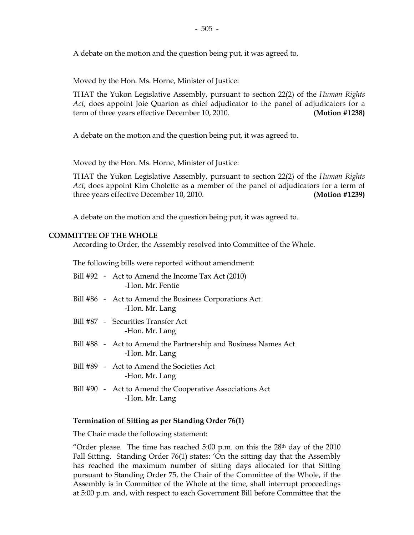A debate on the motion and the question being put, it was agreed to.

Moved by the Hon. Ms. Horne, Minister of Justice:

 THAT the Yukon Legislative Assembly, pursuant to section 22(2) of the *Human Rights Act*, does appoint Joie Quarton as chief adjudicator to the panel of adjudicators for a term of three years effective December 10, 2010. **(Motion #1238)** 

A debate on the motion and the question being put, it was agreed to.

Moved by the Hon. Ms. Horne, Minister of Justice:

 THAT the Yukon Legislative Assembly, pursuant to section 22(2) of the *Human Rights Act*, does appoint Kim Cholette as a member of the panel of adjudicators for a term of three years effective December 10, 2010. **(Motion #1239)** 

A debate on the motion and the question being put, it was agreed to.

#### **COMMITTEE OF THE WHOLE**

According to Order, the Assembly resolved into Committee of the Whole.

The following bills were reported without amendment:

- Bill #92 Act to Amend the Income Tax Act (2010) -Hon. Mr. Fentie
- Bill #86 Act to Amend the Business Corporations Act -Hon. Mr. Lang
- Bill #87 Securities Transfer Act -Hon. Mr. Lang
- Bill #88 Act to Amend the Partnership and Business Names Act -Hon. Mr. Lang
- Bill #89 Act to Amend the Societies Act -Hon. Mr. Lang
- Bill #90 Act to Amend the Cooperative Associations Act -Hon. Mr. Lang

#### **Termination of Sitting as per Standing Order 76(1)**

The Chair made the following statement:

"Order please. The time has reached  $5:00$  p.m. on this the  $28<sup>th</sup>$  day of the  $2010$ Fall Sitting. Standing Order 76(1) states: 'On the sitting day that the Assembly has reached the maximum number of sitting days allocated for that Sitting pursuant to Standing Order 75, the Chair of the Committee of the Whole, if the Assembly is in Committee of the Whole at the time, shall interrupt proceedings at 5:00 p.m. and, with respect to each Government Bill before Committee that the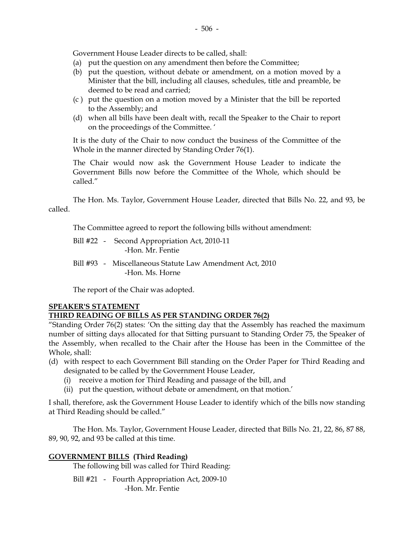Government House Leader directs to be called, shall:

- (a) put the question on any amendment then before the Committee;
- (b) put the question, without debate or amendment, on a motion moved by a Minister that the bill, including all clauses, schedules, title and preamble, be deemed to be read and carried;
- (c ) put the question on a motion moved by a Minister that the bill be reported to the Assembly; and
- (d) when all bills have been dealt with, recall the Speaker to the Chair to report on the proceedings of the Committee. '

It is the duty of the Chair to now conduct the business of the Committee of the Whole in the manner directed by Standing Order 76(1).

The Chair would now ask the Government House Leader to indicate the Government Bills now before the Committee of the Whole, which should be called."

The Hon. Ms. Taylor, Government House Leader, directed that Bills No. 22, and 93, be called.

The Committee agreed to report the following bills without amendment:

- Bill #22 Second Appropriation Act, 2010-11 -Hon. Mr. Fentie
- Bill #93 Miscellaneous Statute Law Amendment Act, 2010 -Hon. Ms. Horne

The report of the Chair was adopted.

#### **SPEAKER'S STATEMENT**

### **THIRD READING OF BILLS AS PER STANDING ORDER 76(2)**

"Standing Order 76(2) states: 'On the sitting day that the Assembly has reached the maximum number of sitting days allocated for that Sitting pursuant to Standing Order 75, the Speaker of the Assembly, when recalled to the Chair after the House has been in the Committee of the Whole, shall:

- (d) with respect to each Government Bill standing on the Order Paper for Third Reading and designated to be called by the Government House Leader,
	- (i) receive a motion for Third Reading and passage of the bill, and
	- (ii) put the question, without debate or amendment, on that motion.'

I shall, therefore, ask the Government House Leader to identify which of the bills now standing at Third Reading should be called."

The Hon. Ms. Taylor, Government House Leader, directed that Bills No. 21, 22, 86, 87 88, 89, 90, 92, and 93 be called at this time.

#### **GOVERNMENT BILLS (Third Reading)**

The following bill was called for Third Reading:

 Bill #21 - Fourth Appropriation Act, 2009-10 -Hon. Mr. Fentie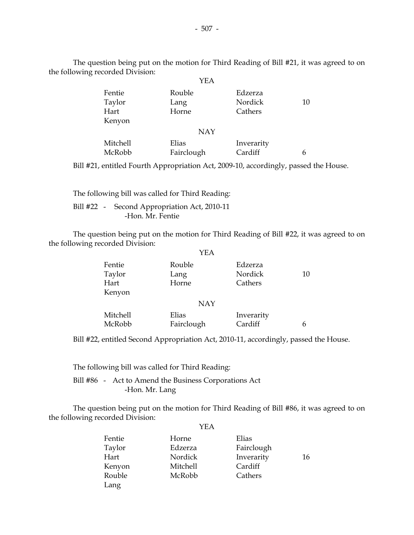The question being put on the motion for Third Reading of Bill #21, it was agreed to on the following recorded Division:  $V\Gamma$   $\Lambda$ 

|          | I EA       |            |    |
|----------|------------|------------|----|
| Fentie   | Rouble     | Edzerza    |    |
| Taylor   | Lang       | Nordick    | 10 |
| Hart     | Horne      | Cathers    |    |
| Kenyon   |            |            |    |
|          | <b>NAY</b> |            |    |
| Mitchell | Elias      | Inverarity |    |
| McRobb   | Fairclough | Cardiff    | 6  |

Bill #21, entitled Fourth Appropriation Act, 2009-10, accordingly, passed the House.

 The following bill was called for Third Reading: Bill #22 - Second Appropriation Act, 2010-11 -Hon. Mr. Fentie

 The question being put on the motion for Third Reading of Bill #22, it was agreed to on the following recorded Division:

|                          | YEA                     |                               |    |
|--------------------------|-------------------------|-------------------------------|----|
| Fentie<br>Taylor<br>Hart | Rouble<br>Lang<br>Horne | Edzerza<br>Nordick<br>Cathers | 10 |
| Kenyon                   |                         |                               |    |
|                          | <b>NAY</b>              |                               |    |
| Mitchell<br>McRobb       | Elias<br>Fairclough     | Inverarity<br>Cardiff         | 6  |
|                          |                         |                               |    |

Bill #22, entitled Second Appropriation Act, 2010-11, accordingly, passed the House.

The following bill was called for Third Reading:

 Bill #86 - Act to Amend the Business Corporations Act -Hon. Mr. Lang

 The question being put on the motion for Third Reading of Bill #86, it was agreed to on the following recorded Division: YEA

| Fentie | Horne    | Elias      |    |
|--------|----------|------------|----|
| Taylor | Edzerza  | Fairclough |    |
| Hart   | Nordick  | Inverarity | 16 |
| Kenyon | Mitchell | Cardiff    |    |
| Rouble | McRobb   | Cathers    |    |
| Lang   |          |            |    |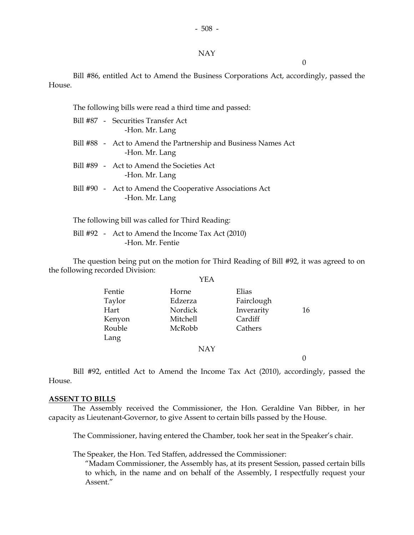#### NAY

 $\theta$ 

 Bill #86, entitled Act to Amend the Business Corporations Act, accordingly, passed the House.

The following bills were read a third time and passed:

| Bill #87 - Securities Transfer Act<br>-Hon. Mr. Lang                             |
|----------------------------------------------------------------------------------|
| Bill #88 - Act to Amend the Partnership and Business Names Act<br>-Hon. Mr. Lang |
| Bill #89 - Act to Amend the Societies Act<br>-Hon. Mr. Lang                      |
| Bill #90 - Act to Amend the Cooperative Associations Act<br>-Hon. Mr. Lang       |

The following bill was called for Third Reading:

Bill #92 - Act to Amend the Income Tax Act (2010) -Hon. Mr. Fentie

 The question being put on the motion for Third Reading of Bill #92, it was agreed to on the following recorded Division:  $\sqrt{2}$ 

|        | YEA      |            |    |
|--------|----------|------------|----|
| Fentie | Horne    | Elias      |    |
| Taylor | Edzerza  | Fairclough |    |
| Hart   | Nordick  | Inverarity | 16 |
| Kenyon | Mitchell | Cardiff    |    |
| Rouble | McRobb   | Cathers    |    |
| Lang   |          |            |    |
|        | NAY      |            |    |

 $\Omega$ 

 Bill #92, entitled Act to Amend the Income Tax Act (2010), accordingly, passed the House.

#### **ASSENT TO BILLS**

 The Assembly received the Commissioner, the Hon. Geraldine Van Bibber, in her capacity as Lieutenant-Governor, to give Assent to certain bills passed by the House.

The Commissioner, having entered the Chamber, took her seat in the Speaker's chair.

The Speaker, the Hon. Ted Staffen, addressed the Commissioner:

 "Madam Commissioner, the Assembly has, at its present Session, passed certain bills to which, in the name and on behalf of the Assembly, I respectfully request your Assent"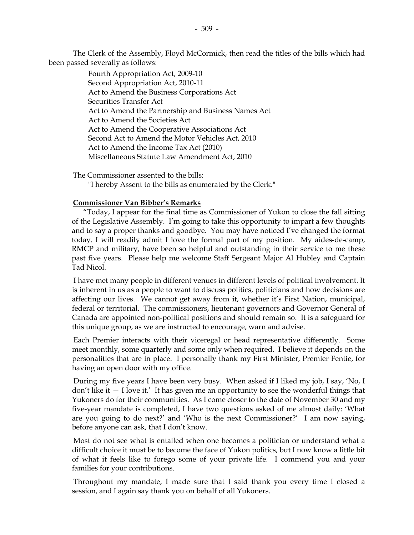The Clerk of the Assembly, Floyd McCormick, then read the titles of the bills which had been passed severally as follows:

> Fourth Appropriation Act, 2009-10 Second Appropriation Act, 2010-11 Act to Amend the Business Corporations Act Securities Transfer Act Act to Amend the Partnership and Business Names Act Act to Amend the Societies Act Act to Amend the Cooperative Associations Act Second Act to Amend the Motor Vehicles Act, 2010 Act to Amend the Income Tax Act (2010) Miscellaneous Statute Law Amendment Act, 2010

 The Commissioner assented to the bills: "I hereby Assent to the bills as enumerated by the Clerk."

#### **Commissioner Van Bibber's Remarks**

 "Today, I appear for the final time as Commissioner of Yukon to close the fall sitting of the Legislative Assembly. I'm going to take this opportunity to impart a few thoughts and to say a proper thanks and goodbye. You may have noticed I've changed the format today. I will readily admit I love the formal part of my position. My aides-de-camp, RMCP and military, have been so helpful and outstanding in their service to me these past five years. Please help me welcome Staff Sergeant Major Al Hubley and Captain Tad Nicol.

I have met many people in different venues in different levels of political involvement. It is inherent in us as a people to want to discuss politics, politicians and how decisions are affecting our lives. We cannot get away from it, whether it's First Nation, municipal, federal or territorial. The commissioners, lieutenant governors and Governor General of Canada are appointed non-political positions and should remain so. It is a safeguard for this unique group, as we are instructed to encourage, warn and advise.

Each Premier interacts with their viceregal or head representative differently. Some meet monthly, some quarterly and some only when required. I believe it depends on the personalities that are in place. I personally thank my First Minister, Premier Fentie, for having an open door with my office.

During my five years I have been very busy. When asked if I liked my job, I say, 'No, I  $\gamma$  don't like it  $-$  I love it.' It has given me an opportunity to see the wonderful things that Yukoners do for their communities. As I come closer to the date of November 30 and my five-year mandate is completed, I have two questions asked of me almost daily: 'What are you going to do next?' and 'Who is the next Commissioner?' I am now saying, before anyone can ask, that I don't know.

Most do not see what is entailed when one becomes a politician or understand what a difficult choice it must be to become the face of Yukon politics, but I now know a little bit of what it feels like to forego some of your private life. I commend you and your families for your contributions.

Throughout my mandate, I made sure that I said thank you every time I closed a session, and I again say thank you on behalf of all Yukoners.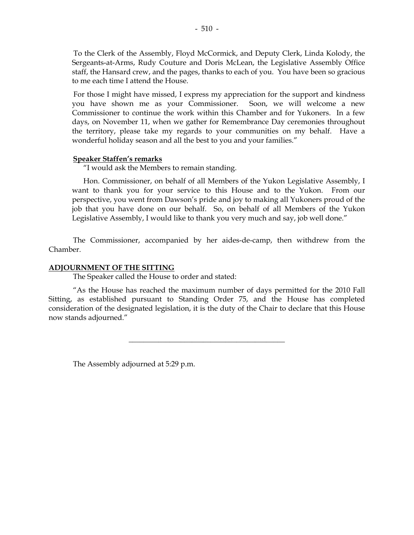To the Clerk of the Assembly, Floyd McCormick, and Deputy Clerk, Linda Kolody, the Sergeants-at-Arms, Rudy Couture and Doris McLean, the Legislative Assembly Office staff, the Hansard crew, and the pages, thanks to each of you. You have been so gracious to me each time I attend the House.

For those I might have missed, I express my appreciation for the support and kindness you have shown me as your Commissioner. Soon, we will welcome a new Commissioner to continue the work within this Chamber and for Yukoners. In a few days, on November 11, when we gather for Remembrance Day ceremonies throughout the territory, please take my regards to your communities on my behalf. Have a wonderful holiday season and all the best to you and your families."

#### **Speaker Staffen's remarks**

"I would ask the Members to remain standing.

 Hon. Commissioner, on behalf of all Members of the Yukon Legislative Assembly, I want to thank you for your service to this House and to the Yukon. From our perspective, you went from Dawson's pride and joy to making all Yukoners proud of the job that you have done on our behalf. So, on behalf of all Members of the Yukon Legislative Assembly, I would like to thank you very much and say, job well done."

 The Commissioner, accompanied by her aides-de-camp, then withdrew from the Chamber.

#### **ADJOURNMENT OF THE SITTING**

The Speaker called the House to order and stated:

 "As the House has reached the maximum number of days permitted for the 2010 Fall Sitting, as established pursuant to Standing Order 75, and the House has completed consideration of the designated legislation, it is the duty of the Chair to declare that this House now stands adjourned."

\_\_\_\_\_\_\_\_\_\_\_\_\_\_\_\_\_\_\_\_\_\_\_\_\_\_\_\_\_\_\_\_\_\_\_\_\_\_\_\_\_\_

The Assembly adjourned at 5:29 p.m.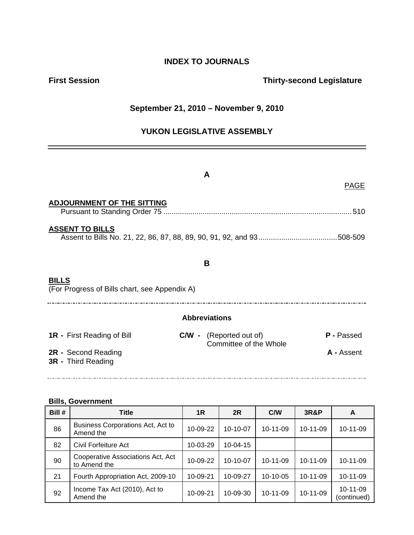## **INDEX TO JOURNALS**

## **First Session Contract Session Contract Session Contract Contract Contract Contract Contract Contract Contract Contract Contract Contract Contract Contract Contract Contract Contract Contract Contract Contract Contract Co**

## **September 21, 2010 – November 9, 2010**

## **YUKON LEGISLATIVE ASSEMBLY**

|                                                               | A                                                        |                   |
|---------------------------------------------------------------|----------------------------------------------------------|-------------------|
|                                                               |                                                          | <b>PAGE</b>       |
| <b>ADJOURNMENT OF THE SITTING</b>                             |                                                          |                   |
| <b>ASSENT TO BILLS</b>                                        |                                                          |                   |
|                                                               | B                                                        |                   |
| <b>BILLS</b><br>(For Progress of Bills chart, see Appendix A) |                                                          |                   |
|                                                               | <b>Abbreviations</b>                                     |                   |
| <b>1R</b> - First Reading of Bill                             | <b>C/W</b> - (Reported out of)<br>Committee of the Whole | <b>P</b> - Passed |
| 2R - Second Reading<br>3R - Third Reading                     |                                                          | A - Assent        |

#### **Bills, Government**

| Bill # | Title                                             | 1R       | 2R             | C/W            | 3R&P           | A                       |
|--------|---------------------------------------------------|----------|----------------|----------------|----------------|-------------------------|
| 86     | Business Corporations Act, Act to<br>Amend the    | 10-09-22 | $10-10-07$     | 10-11-09       | $10-11-09$     | 10-11-09                |
| 82     | Civil Forfeiture Act                              | 10-03-29 | $10 - 04 - 15$ |                |                |                         |
| 90     | Cooperative Associations Act, Act<br>to Amend the | 10-09-22 | $10 - 10 - 07$ | $10 - 11 - 09$ | $10 - 11 - 09$ | 10-11-09                |
| 21     | Fourth Appropriation Act, 2009-10                 | 10-09-21 | 10-09-27       | 10-10-05       | 10-11-09       | 10-11-09                |
| 92     | Income Tax Act (2010), Act to<br>Amend the        | 10-09-21 | 10-09-30       | $10 - 11 - 09$ | 10-11-09       | 10-11-09<br>(continued) |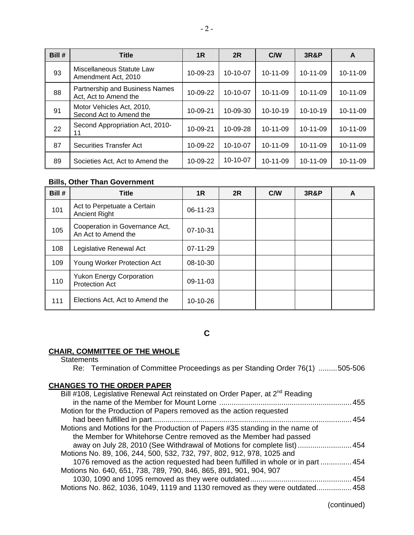| Bill # | <b>Title</b>                                            | 1 <sub>R</sub> | 2R             | C/W            | <b>3R&amp;P</b> | A              |
|--------|---------------------------------------------------------|----------------|----------------|----------------|-----------------|----------------|
| 93     | Miscellaneous Statute Law<br>Amendment Act, 2010        | $10 - 09 - 23$ | $10-10-07$     | $10 - 11 - 09$ | $10 - 11 - 09$  | $10 - 11 - 09$ |
| 88     | Partnership and Business Names<br>Act, Act to Amend the | 10-09-22       | $10 - 10 - 07$ | $10 - 11 - 09$ | $10 - 11 - 09$  | 10-11-09       |
| 91     | Motor Vehicles Act, 2010,<br>Second Act to Amend the    | 10-09-21       | 10-09-30       | $10-10-19$     | $10-10-19$      | $10-11-09$     |
| 22     | Second Appropriation Act, 2010-<br>11                   | 10-09-21       | $10 - 09 - 28$ | $10 - 11 - 09$ | $10 - 11 - 09$  | $10-11-09$     |
| 87     | Securities Transfer Act                                 | 10-09-22       | $10-10-07$     | $10 - 11 - 09$ | $10 - 11 - 09$  | 10-11-09       |
| 89     | Societies Act. Act to Amend the                         | 10-09-22       | $10-10-07$     | $10 - 11 - 09$ | $10 - 11 - 09$  | 10-11-09       |

## **Bills, Other Than Government**

| Bill # | <b>Title</b>                                             | 1R             | 2R | C/W | <b>3R&amp;P</b> | A |
|--------|----------------------------------------------------------|----------------|----|-----|-----------------|---|
| 101    | Act to Perpetuate a Certain<br><b>Ancient Right</b>      | $06-11-23$     |    |     |                 |   |
| 105    | Cooperation in Governance Act,<br>An Act to Amend the    | $07 - 10 - 31$ |    |     |                 |   |
| 108    | Legislative Renewal Act                                  | $07-11-29$     |    |     |                 |   |
| 109    | Young Worker Protection Act                              | 08-10-30       |    |     |                 |   |
| 110    | <b>Yukon Energy Corporation</b><br><b>Protection Act</b> | 09-11-03       |    |     |                 |   |
| 111    | Elections Act, Act to Amend the                          | $10-10-26$     |    |     |                 |   |

**C** 

#### **CHAIR, COMMITTEE OF THE WHOLE**

**Statements** 

| Re: Termination of Committee Proceedings as per Standing Order 76(1) 505-506             |  |
|------------------------------------------------------------------------------------------|--|
| <b>CHANGES TO THE ORDER PAPER</b>                                                        |  |
| Bill #108, Legislative Renewal Act reinstated on Order Paper, at 2 <sup>nd</sup> Reading |  |
|                                                                                          |  |

| Motion for the Production of Papers removed as the action requested              |  |
|----------------------------------------------------------------------------------|--|
|                                                                                  |  |
| Motions and Motions for the Production of Papers #35 standing in the name of     |  |
| the Member for Whitehorse Centre removed as the Member had passed                |  |
| away on July 28, 2010 (See Withdrawal of Motions for complete list)  454         |  |
| Motions No. 89, 106, 244, 500, 532, 732, 797, 802, 912, 978, 1025 and            |  |
| 1076 removed as the action requested had been fulfilled in whole or in part  454 |  |
| Motions No. 640, 651, 738, 789, 790, 846, 865, 891, 901, 904, 907                |  |
|                                                                                  |  |
| Motions No. 862, 1036, 1049, 1119 and 1130 removed as they were outdated 458     |  |
|                                                                                  |  |

(continued)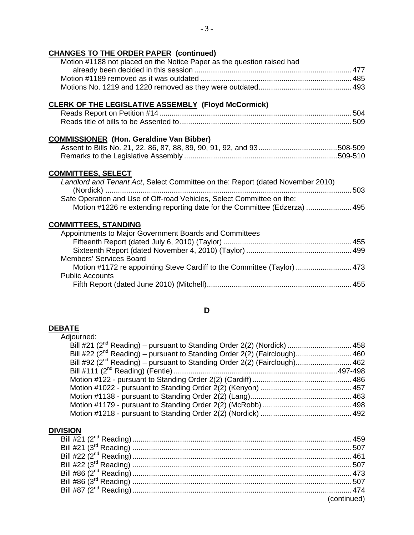## **CHANGES TO THE ORDER PAPER (continued)**

| Motion #1188 not placed on the Notice Paper as the question raised had |
|------------------------------------------------------------------------|
|                                                                        |
|                                                                        |
|                                                                        |

### **CLERK OF THE LEGISLATIVE ASSEMBLY (Floyd McCormick)**

## **COMMISSIONER (Hon. Geraldine Van Bibber)**

### **COMMITTEES, SELECT**

| Landlord and Tenant Act, Select Committee on the: Report (dated November 2010) |
|--------------------------------------------------------------------------------|
|                                                                                |
| Safe Operation and Use of Off-road Vehicles, Select Committee on the:          |
| Motion #1226 re extending reporting date for the Committee (Edzerza)  495      |

### **COMMITTEES, STANDING**

| Appointments to Major Government Boards and Committees                  |  |
|-------------------------------------------------------------------------|--|
|                                                                         |  |
|                                                                         |  |
| <b>Members' Services Board</b>                                          |  |
| Motion #1172 re appointing Steve Cardiff to the Committee (Taylor)  473 |  |
| <b>Public Accounts</b>                                                  |  |
|                                                                         |  |

#### **D**

#### **DEBATE**

| Adjourned:                                                                            |  |
|---------------------------------------------------------------------------------------|--|
|                                                                                       |  |
| Bill #22 (2 <sup>nd</sup> Reading) – pursuant to Standing Order 2(2) (Fairclough) 460 |  |
| Bill #92 (2 <sup>nd</sup> Reading) – pursuant to Standing Order 2(2) (Fairclough) 462 |  |
|                                                                                       |  |
|                                                                                       |  |
|                                                                                       |  |
|                                                                                       |  |
|                                                                                       |  |
|                                                                                       |  |
|                                                                                       |  |

#### **DIVISION**

| (continued) |
|-------------|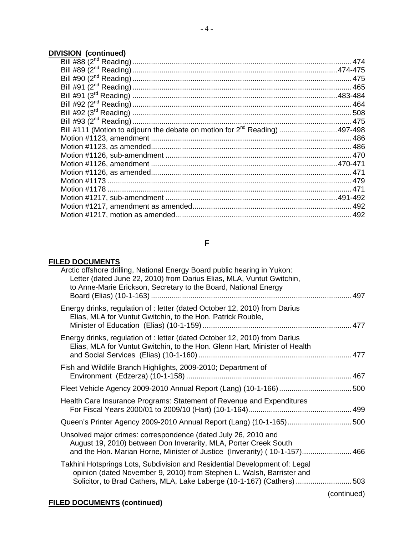# **DIVISION (continued)**

| Bill #111 (Motion to adjourn the debate on motion for 2 <sup>nd</sup> Reading)  497-498 |  |
|-----------------------------------------------------------------------------------------|--|
|                                                                                         |  |
|                                                                                         |  |
|                                                                                         |  |
|                                                                                         |  |
|                                                                                         |  |
|                                                                                         |  |
|                                                                                         |  |
|                                                                                         |  |
|                                                                                         |  |
|                                                                                         |  |
|                                                                                         |  |

## **F**

## **FILED DOCUMENTS**

|             | Arctic offshore drilling, National Energy Board public hearing in Yukon:<br>Letter (dated June 22, 2010) from Darius Elias, MLA, Vuntut Gwitchin,<br>to Anne-Marie Erickson, Secretary to the Board, National Energy          |
|-------------|-------------------------------------------------------------------------------------------------------------------------------------------------------------------------------------------------------------------------------|
|             | Energy drinks, regulation of : letter (dated October 12, 2010) from Darius<br>Elias, MLA for Vuntut Gwitchin, to the Hon. Patrick Rouble,                                                                                     |
|             | Energy drinks, regulation of : letter (dated October 12, 2010) from Darius<br>Elias, MLA for Vuntut Gwitchin, to the Hon. Glenn Hart, Minister of Health                                                                      |
|             | Fish and Wildlife Branch Highlights, 2009-2010; Department of                                                                                                                                                                 |
|             |                                                                                                                                                                                                                               |
|             | Health Care Insurance Programs: Statement of Revenue and Expenditures                                                                                                                                                         |
|             | Queen's Printer Agency 2009-2010 Annual Report (Lang) (10-1-165)500                                                                                                                                                           |
|             | Unsolved major crimes: correspondence (dated July 26, 2010 and<br>August 19, 2010) between Don Inverarity, MLA, Porter Creek South<br>and the Hon. Marian Horne, Minister of Justice (Inverarity) (10-1-157) 466              |
|             | Takhini Hotsprings Lots, Subdivision and Residential Development of: Legal<br>opinion (dated November 9, 2010) from Stephen L. Walsh, Barrister and<br>Solicitor, to Brad Cathers, MLA, Lake Laberge (10-1-167) (Cathers) 503 |
| (continued) |                                                                                                                                                                                                                               |

## **FILED DOCUMENTS (continued)**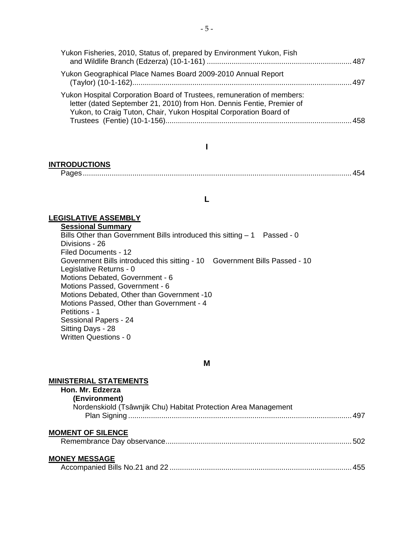| Yukon Fisheries, 2010, Status of, prepared by Environment Yukon, Fish                                                                                                                                                |
|----------------------------------------------------------------------------------------------------------------------------------------------------------------------------------------------------------------------|
| Yukon Geographical Place Names Board 2009-2010 Annual Report                                                                                                                                                         |
| Yukon Hospital Corporation Board of Trustees, remuneration of members:<br>letter (dated September 21, 2010) from Hon. Dennis Fentie, Premier of<br>Yukon, to Craig Tuton, Chair, Yukon Hospital Corporation Board of |
|                                                                                                                                                                                                                      |

#### **I**

#### **INTRODUCTIONS**

Pages..................................................................................................................................454

#### **L**

#### **LEGISLATIVE ASSEMBLY**

**Sessional Summary**

Bills Other than Government Bills introduced this sitting  $-1$  Passed - 0 Divisions - 26 Filed Documents - 12 Government Bills introduced this sitting - 10 Government Bills Passed - 10 Legislative Returns - 0 Motions Debated, Government - 6 Motions Passed, Government - 6 Motions Debated, Other than Government -10 Motions Passed, Other than Government - 4 Petitions - 1 Sessional Papers - 24 Sitting Days - 28 Written Questions - 0

#### **M**

#### **MINISTERIAL STATEMENTS**

| Hon. Mr. Edzerza                                               |  |
|----------------------------------------------------------------|--|
| (Environment)                                                  |  |
| Nordenskiold (Tsâwnjik Chu) Habitat Protection Area Management |  |
|                                                                |  |
| <b>MOMENT OF SILENCE</b>                                       |  |
|                                                                |  |

#### **MONEY MESSAGE**

|--|--|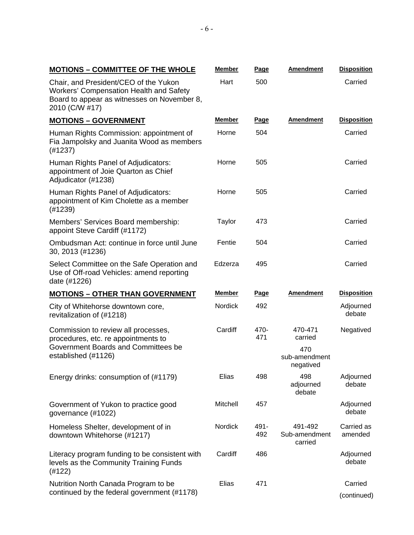| <b>MOTIONS - COMMITTEE OF THE WHOLE</b> | Member | Page | Amendment | <b>Disposition</b> |
|-----------------------------------------|--------|------|-----------|--------------------|
|-----------------------------------------|--------|------|-----------|--------------------|

Chair, and President/CEO of the Yukon Workers' Compensation Health and Safety Board to appear as witnesses on November 8, 2010 (C/W #17)

Hart 500 Carried

| $2010$ (C/VV #17)                                                                                       |                |             |                                     |                       |
|---------------------------------------------------------------------------------------------------------|----------------|-------------|-------------------------------------|-----------------------|
| <b>MOTIONS - GOVERNMENT</b>                                                                             | <u>Member</u>  | <u>Page</u> | <b>Amendment</b>                    | <b>Disposition</b>    |
| Human Rights Commission: appointment of<br>Fia Jampolsky and Juanita Wood as members<br>(H1237)         | Horne          | 504         |                                     | Carried               |
| Human Rights Panel of Adjudicators:<br>appointment of Joie Quarton as Chief<br>Adjudicator (#1238)      | Horne          | 505         |                                     | Carried               |
| Human Rights Panel of Adjudicators:<br>appointment of Kim Cholette as a member<br>(#1239)               | Horne          | 505         |                                     | Carried               |
| Members' Services Board membership:<br>appoint Steve Cardiff (#1172)                                    | Taylor         | 473         |                                     | Carried               |
| Ombudsman Act: continue in force until June<br>30, 2013 (#1236)                                         | Fentie         | 504         |                                     | Carried               |
| Select Committee on the Safe Operation and<br>Use of Off-road Vehicles: amend reporting<br>date (#1226) | Edzerza        | 495         |                                     | Carried               |
| <b>MOTIONS - OTHER THAN GOVERNMENT</b>                                                                  | <b>Member</b>  | <u>Page</u> | <b>Amendment</b>                    | <b>Disposition</b>    |
| City of Whitehorse downtown core,<br>revitalization of (#1218)                                          | <b>Nordick</b> | 492         |                                     | Adjourned<br>debate   |
| Commission to review all processes,<br>procedures, etc. re appointments to                              | Cardiff        | 470-<br>471 | 470-471<br>carried                  | Negatived             |
| Government Boards and Committees be<br>established (#1126)                                              |                |             | 470<br>sub-amendment<br>negatived   |                       |
| Energy drinks: consumption of (#1179)                                                                   | Elias          | 498         | 498<br>adjourned<br>debate          | Adjourned<br>debate   |
| Government of Yukon to practice good<br>governance (#1022)                                              | Mitchell       | 457         |                                     | Adjourned<br>debate   |
| Homeless Shelter, development of in<br>downtown Whitehorse (#1217)                                      | Nordick        | 491-<br>492 | 491-492<br>Sub-amendment<br>carried | Carried as<br>amended |
| Literacy program funding to be consistent with<br>levels as the Community Training Funds<br>(#122)      | Cardiff        | 486         |                                     | Adjourned<br>debate   |
| Nutrition North Canada Program to be                                                                    | Elias          | 471         |                                     | Carried               |
| continued by the federal government (#1178)                                                             |                |             |                                     | (continued)           |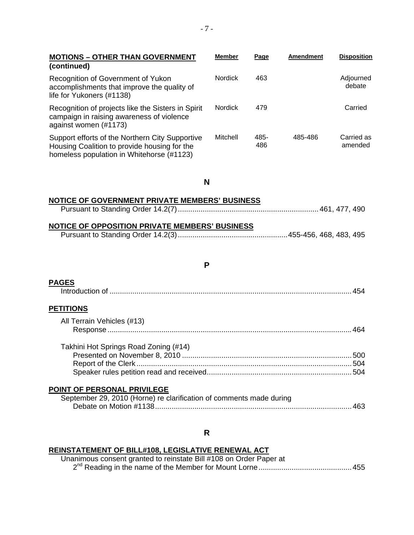| <b>MOTIONS - OTHER THAN GOVERNMENT</b><br>(continued)                                                                                        | <b>Member</b>  | <b>Page</b> | <b>Amendment</b> | <b>Disposition</b>    |
|----------------------------------------------------------------------------------------------------------------------------------------------|----------------|-------------|------------------|-----------------------|
| Recognition of Government of Yukon<br>accomplishments that improve the quality of<br>life for Yukoners (#1138)                               | <b>Nordick</b> | 463         |                  | Adjourned<br>debate   |
| Recognition of projects like the Sisters in Spirit<br>campaign in raising awareness of violence<br>against women (#1173)                     | <b>Nordick</b> | 479         |                  | Carried               |
| Support efforts of the Northern City Supportive<br>Housing Coalition to provide housing for the<br>homeless population in Whitehorse (#1123) | Mitchell       | 485-<br>486 | 485-486          | Carried as<br>amended |
| N                                                                                                                                            |                |             |                  |                       |
| NOTICE OF GOVERNMENT PRIVATE MEMBERS' BUSINESS<br>NOTICE OF OPPOSITION PRIVATE MEMBERS' BUSINESS                                             |                |             |                  |                       |
| P                                                                                                                                            |                |             |                  |                       |
| <b>PAGES</b>                                                                                                                                 |                |             |                  |                       |
| <b>PETITIONS</b><br>All Terrain Vehicles (#13)                                                                                               |                |             |                  |                       |
|                                                                                                                                              |                |             |                  |                       |
| Takhini Hot Springs Road Zoning (#14)                                                                                                        |                |             |                  |                       |
| POINT OF PERSONAL PRIVILEGE<br>September 29, 2010 (Horne) re clarification of comments made during                                           |                |             |                  |                       |
| R                                                                                                                                            |                |             |                  |                       |

### **REINSTATEMENT OF BILL#108, LEGISLATIVE RENEWAL ACT**

| Unanimous consent granted to reinstate Bill #108 on Order Paper at |  |
|--------------------------------------------------------------------|--|
|                                                                    |  |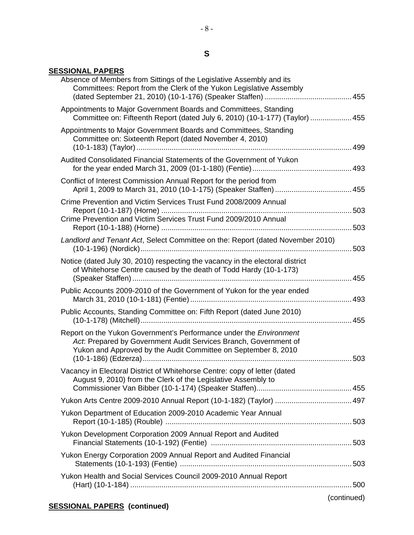## **S**

- 8 -

## **SESSIONAL PAPERS**

| Absence of Members from Sittings of the Legislative Assembly and its<br>Committees: Report from the Clerk of the Yukon Legislative Assembly                                                                     |             |
|-----------------------------------------------------------------------------------------------------------------------------------------------------------------------------------------------------------------|-------------|
| Appointments to Major Government Boards and Committees, Standing<br>Committee on: Fifteenth Report (dated July 6, 2010) (10-1-177) (Taylor)  455                                                                |             |
| Appointments to Major Government Boards and Committees, Standing<br>Committee on: Sixteenth Report (dated November 4, 2010)                                                                                     |             |
| Audited Consolidated Financial Statements of the Government of Yukon                                                                                                                                            |             |
| Conflict of Interest Commission Annual Report for the period from                                                                                                                                               |             |
| Crime Prevention and Victim Services Trust Fund 2008/2009 Annual                                                                                                                                                |             |
| Crime Prevention and Victim Services Trust Fund 2009/2010 Annual                                                                                                                                                |             |
| Landlord and Tenant Act, Select Committee on the: Report (dated November 2010)                                                                                                                                  |             |
| Notice (dated July 30, 2010) respecting the vacancy in the electoral district<br>of Whitehorse Centre caused by the death of Todd Hardy (10-1-173)                                                              |             |
| Public Accounts 2009-2010 of the Government of Yukon for the year ended                                                                                                                                         |             |
| Public Accounts, Standing Committee on: Fifth Report (dated June 2010)                                                                                                                                          |             |
| Report on the Yukon Government's Performance under the <i>Environment</i><br>Act: Prepared by Government Audit Services Branch, Government of<br>Yukon and Approved by the Audit Committee on September 8, 2010 | 503         |
| Vacancy in Electoral District of Whitehorse Centre: copy of letter (dated<br>August 9, 2010) from the Clerk of the Legislative Assembly to                                                                      |             |
|                                                                                                                                                                                                                 |             |
| Yukon Department of Education 2009-2010 Academic Year Annual                                                                                                                                                    |             |
| Yukon Development Corporation 2009 Annual Report and Audited                                                                                                                                                    |             |
| Yukon Energy Corporation 2009 Annual Report and Audited Financial                                                                                                                                               |             |
| Yukon Health and Social Services Council 2009-2010 Annual Report                                                                                                                                                |             |
|                                                                                                                                                                                                                 | (continued) |
|                                                                                                                                                                                                                 |             |

## **SESSIONAL PAPERS (continued)**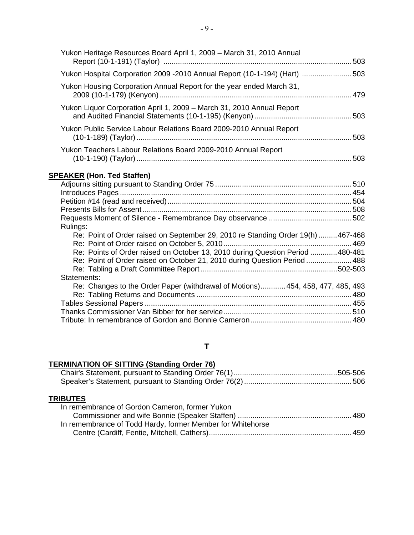| Yukon Heritage Resources Board April 1, 2009 - March 31, 2010 Annual                                                             |  |
|----------------------------------------------------------------------------------------------------------------------------------|--|
| Yukon Hospital Corporation 2009 -2010 Annual Report (10-1-194) (Hart) 503                                                        |  |
| Yukon Housing Corporation Annual Report for the year ended March 31,                                                             |  |
| Yukon Liquor Corporation April 1, 2009 – March 31, 2010 Annual Report                                                            |  |
| Yukon Public Service Labour Relations Board 2009-2010 Annual Report<br>(10-1-189) (Taylor) …………………………………………………………………………………………503 |  |
| Yukon Teachers Labour Relations Board 2009-2010 Annual Report                                                                    |  |
| <b>SPEAKER (Hon. Ted Staffen)</b>                                                                                                |  |
|                                                                                                                                  |  |
|                                                                                                                                  |  |
|                                                                                                                                  |  |
|                                                                                                                                  |  |
| Rulings:                                                                                                                         |  |
| Re: Point of Order raised on September 29, 2010 re Standing Order 19(h) 467-468                                                  |  |
|                                                                                                                                  |  |
| Re: Points of Order raised on October 13, 2010 during Question Period 480-481                                                    |  |
| Re: Point of Order raised on October 21, 2010 during Question Period  488                                                        |  |
|                                                                                                                                  |  |

| Statements:                                                                    |  |
|--------------------------------------------------------------------------------|--|
| Re: Changes to the Order Paper (withdrawal of Motions) 454, 458, 477, 485, 493 |  |
|                                                                                |  |
|                                                                                |  |
|                                                                                |  |
|                                                                                |  |

## **T**

## **TERMINATION OF SITTING (Standing Order 76)**

## **TRIBUTES**

| In remembrance of Gordon Cameron, former Yukon             |  |
|------------------------------------------------------------|--|
|                                                            |  |
| In remembrance of Todd Hardy, former Member for Whitehorse |  |
|                                                            |  |
|                                                            |  |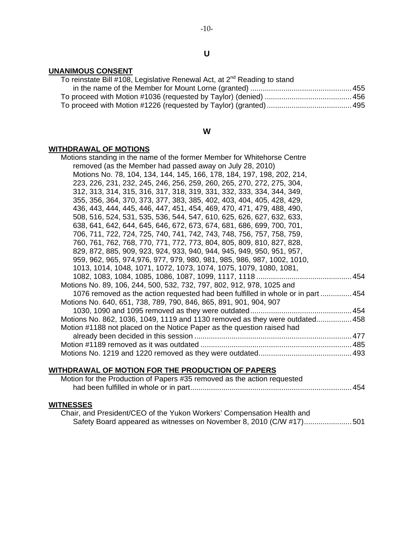#### **UNANIMOUS CONSENT**

| To reinstate Bill #108, Legislative Renewal Act, at 2 <sup>nd</sup> Reading to stand |  |
|--------------------------------------------------------------------------------------|--|
|                                                                                      |  |
|                                                                                      |  |
|                                                                                      |  |

#### **W**

#### **WITHDRAWAL OF MOTIONS**

| Motions standing in the name of the former Member for Whitehorse Centre          |
|----------------------------------------------------------------------------------|
| removed (as the Member had passed away on July 28, 2010)                         |
| Motions No. 78, 104, 134, 144, 145, 166, 178, 184, 197, 198, 202, 214,           |
| 223, 226, 231, 232, 245, 246, 256, 259, 260, 265, 270, 272, 275, 304,            |
| 312, 313, 314, 315, 316, 317, 318, 319, 331, 332, 333, 334, 344, 349,            |
| 355, 356, 364, 370, 373, 377, 383, 385, 402, 403, 404, 405, 428, 429,            |
| 436, 443, 444, 445, 446, 447, 451, 454, 469, 470, 471, 479, 488, 490,            |
| 508, 516, 524, 531, 535, 536, 544, 547, 610, 625, 626, 627, 632, 633,            |
| 638, 641, 642, 644, 645, 646, 672, 673, 674, 681, 686, 699, 700, 701,            |
| 706, 711, 722, 724, 725, 740, 741, 742, 743, 748, 756, 757, 758, 759,            |
| 760, 761, 762, 768, 770, 771, 772, 773, 804, 805, 809, 810, 827, 828,            |
| 829, 872, 885, 909, 923, 924, 933, 940, 944, 945, 949, 950, 951, 957,            |
| 959, 962, 965, 974, 976, 977, 979, 980, 981, 985, 986, 987, 1002, 1010,          |
| 1013, 1014, 1048, 1071, 1072, 1073, 1074, 1075, 1079, 1080, 1081,                |
|                                                                                  |
| Motions No. 89, 106, 244, 500, 532, 732, 797, 802, 912, 978, 1025 and            |
| 1076 removed as the action requested had been fulfilled in whole or in part  454 |
| Motions No. 640, 651, 738, 789, 790, 846, 865, 891, 901, 904, 907                |
|                                                                                  |
| Motions No. 862, 1036, 1049, 1119 and 1130 removed as they were outdated458      |
| Motion #1188 not placed on the Notice Paper as the question raised had           |
|                                                                                  |
|                                                                                  |
|                                                                                  |
|                                                                                  |

### **WITHDRAWAL OF MOTION FOR THE PRODUCTION OF PAPERS**

| Motion for the Production of Papers #35 removed as the action requested |  |
|-------------------------------------------------------------------------|--|
|                                                                         |  |

## **WITNESSES**

 Chair, and President/CEO of the Yukon Workers' Compensation Health and Safety Board appeared as witnesses on November 8, 2010 (C/W #17).......................501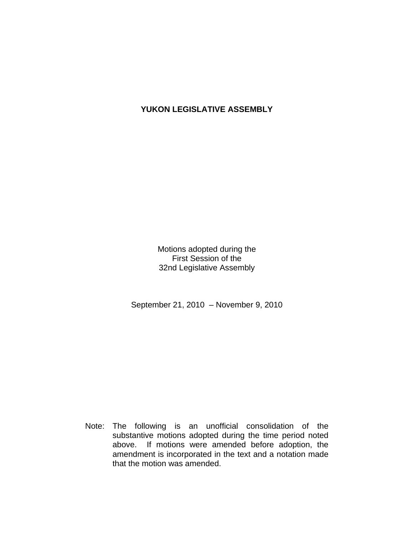## **YUKON LEGISLATIVE ASSEMBLY**

Motions adopted during the First Session of the 32nd Legislative Assembly

September 21, 2010 – November 9, 2010

 Note: The following is an unofficial consolidation of the substantive motions adopted during the time period noted above. If motions were amended before adoption, the amendment is incorporated in the text and a notation made that the motion was amended.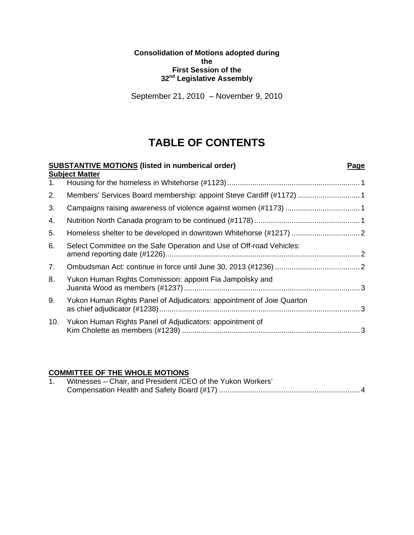#### **Consolidation of Motions adopted during the First Session of the 32nd Legislative Assembly**

September 21, 2010 – November 9, 2010

# **TABLE OF CONTENTS**

| <b>SUBSTANTIVE MOTIONS</b> (listed in numberical order)               | Page                                                                                       |
|-----------------------------------------------------------------------|--------------------------------------------------------------------------------------------|
|                                                                       |                                                                                            |
|                                                                       |                                                                                            |
|                                                                       |                                                                                            |
|                                                                       |                                                                                            |
|                                                                       |                                                                                            |
| Select Committee on the Safe Operation and Use of Off-road Vehicles:  |                                                                                            |
|                                                                       |                                                                                            |
| Yukon Human Rights Commission: appoint Fia Jampolsky and              |                                                                                            |
| Yukon Human Rights Panel of Adjudicators: appointment of Joie Quarton |                                                                                            |
| Yukon Human Rights Panel of Adjudicators: appointment of              |                                                                                            |
|                                                                       | <b>Subject Matter</b><br>Members' Services Board membership: appoint Steve Cardiff (#1172) |

## **COMMITTEE OF THE WHOLE MOTIONS**

| Witnesses - Chair, and President / CEO of the Yukon Workers' |
|--------------------------------------------------------------|
|                                                              |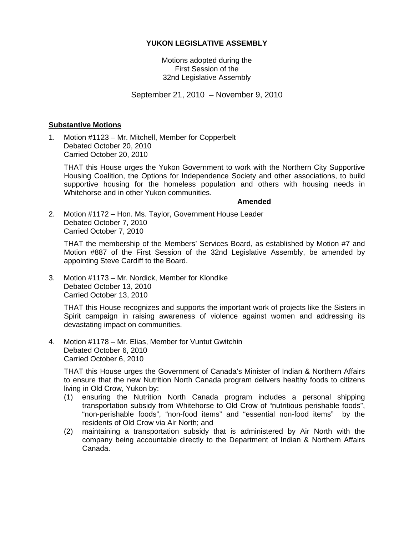#### **YUKON LEGISLATIVE ASSEMBLY**

Motions adopted during the First Session of the 32nd Legislative Assembly

September 21, 2010 – November 9, 2010

#### **Substantive Motions**

1. Motion #1123 – Mr. Mitchell, Member for Copperbelt Debated October 20, 2010 Carried October 20, 2010

 THAT this House urges the Yukon Government to work with the Northern City Supportive Housing Coalition, the Options for Independence Society and other associations, to build supportive housing for the homeless population and others with housing needs in Whitehorse and in other Yukon communities.

#### **Amended**

2. Motion #1172 – Hon. Ms. Taylor, Government House Leader Debated October 7, 2010 Carried October 7, 2010

 THAT the membership of the Members' Services Board, as established by Motion #7 and Motion #887 of the First Session of the 32nd Legislative Assembly, be amended by appointing Steve Cardiff to the Board.

3. Motion #1173 – Mr. Nordick, Member for Klondike Debated October 13, 2010 Carried October 13, 2010

 THAT this House recognizes and supports the important work of projects like the Sisters in Spirit campaign in raising awareness of violence against women and addressing its devastating impact on communities.

4. Motion #1178 – Mr. Elias, Member for Vuntut Gwitchin Debated October 6, 2010 Carried October 6, 2010

 THAT this House urges the Government of Canada's Minister of Indian & Northern Affairs to ensure that the new Nutrition North Canada program delivers healthy foods to citizens living in Old Crow, Yukon by:

- (1) ensuring the Nutrition North Canada program includes a personal shipping transportation subsidy from Whitehorse to Old Crow of "nutritious perishable foods", "non-perishable foods", "non-food items" and "essential non-food items" by the residents of Old Crow via Air North; and
- (2) maintaining a transportation subsidy that is administered by Air North with the company being accountable directly to the Department of Indian & Northern Affairs Canada.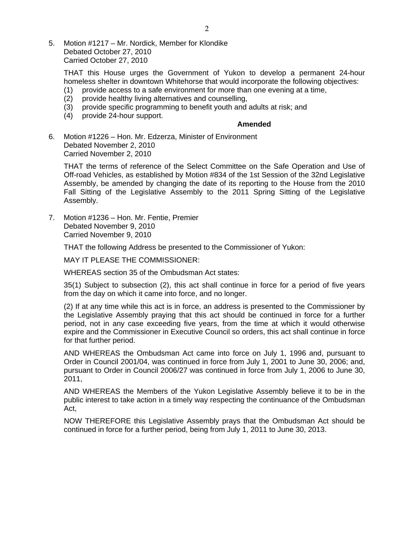5. Motion #1217 – Mr. Nordick, Member for Klondike Debated October 27, 2010 Carried October 27, 2010

 THAT this House urges the Government of Yukon to develop a permanent 24-hour homeless shelter in downtown Whitehorse that would incorporate the following objectives:

- (1) provide access to a safe environment for more than one evening at a time,
- (2) provide healthy living alternatives and counselling,
- (3) provide specific programming to benefit youth and adults at risk; and
- (4) provide 24-hour support.

#### **Amended**

6. Motion #1226 – Hon. Mr. Edzerza, Minister of Environment Debated November 2, 2010 Carried November 2, 2010

 THAT the terms of reference of the Select Committee on the Safe Operation and Use of Off-road Vehicles, as established by Motion #834 of the 1st Session of the 32nd Legislative Assembly, be amended by changing the date of its reporting to the House from the 2010 Fall Sitting of the Legislative Assembly to the 2011 Spring Sitting of the Legislative Assembly.

7. Motion #1236 – Hon. Mr. Fentie, Premier Debated November 9, 2010 Carried November 9, 2010

THAT the following Address be presented to the Commissioner of Yukon:

MAY IT PLEASE THE COMMISSIONER:

WHEREAS section 35 of the Ombudsman Act states:

 35(1) Subject to subsection (2), this act shall continue in force for a period of five years from the day on which it came into force, and no longer.

 (2) If at any time while this act is in force, an address is presented to the Commissioner by the Legislative Assembly praying that this act should be continued in force for a further period, not in any case exceeding five years, from the time at which it would otherwise expire and the Commissioner in Executive Council so orders, this act shall continue in force for that further period.

 AND WHEREAS the Ombudsman Act came into force on July 1, 1996 and, pursuant to Order in Council 2001/04, was continued in force from July 1, 2001 to June 30, 2006; and, pursuant to Order in Council 2006/27 was continued in force from July 1, 2006 to June 30, 2011,

 AND WHEREAS the Members of the Yukon Legislative Assembly believe it to be in the public interest to take action in a timely way respecting the continuance of the Ombudsman Act,

 NOW THEREFORE this Legislative Assembly prays that the Ombudsman Act should be continued in force for a further period, being from July 1, 2011 to June 30, 2013.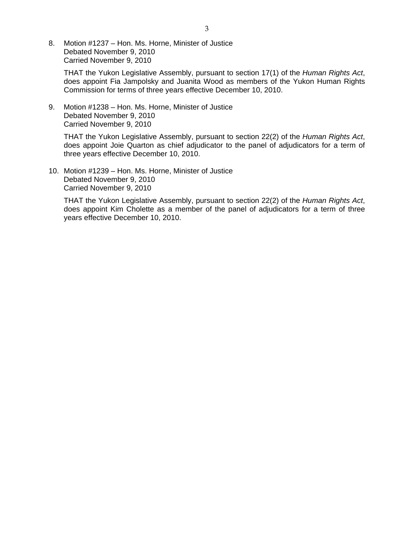8. Motion #1237 – Hon. Ms. Horne, Minister of Justice Debated November 9, 2010 Carried November 9, 2010

 THAT the Yukon Legislative Assembly, pursuant to section 17(1) of the *Human Rights Act*, does appoint Fia Jampolsky and Juanita Wood as members of the Yukon Human Rights Commission for terms of three years effective December 10, 2010.

9. Motion #1238 – Hon. Ms. Horne, Minister of Justice Debated November 9, 2010 Carried November 9, 2010

 THAT the Yukon Legislative Assembly, pursuant to section 22(2) of the *Human Rights Act*, does appoint Joie Quarton as chief adjudicator to the panel of adjudicators for a term of three years effective December 10, 2010.

10. Motion #1239 – Hon. Ms. Horne, Minister of Justice Debated November 9, 2010 Carried November 9, 2010

 THAT the Yukon Legislative Assembly, pursuant to section 22(2) of the *Human Rights Act*, does appoint Kim Cholette as a member of the panel of adjudicators for a term of three years effective December 10, 2010.